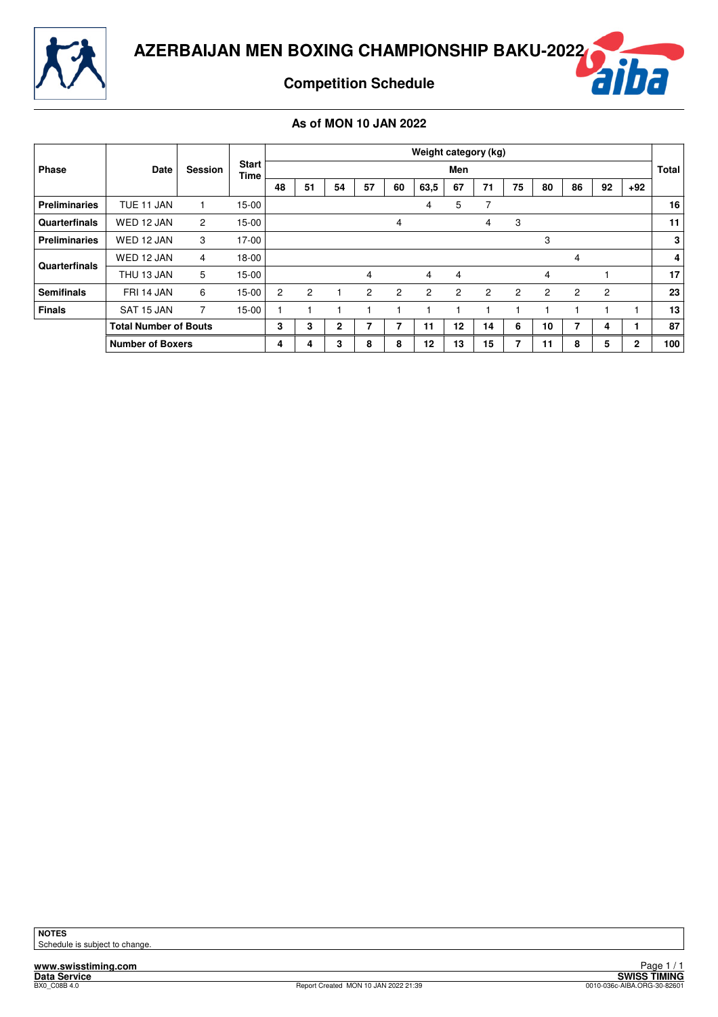



**Competition Schedule**

#### **As of MON 10 JAN 2022**

|                   |                              |                |                      |                |                |              |                |                | Weight category (kg) |                |                |                |                |                |                |       |              |
|-------------------|------------------------------|----------------|----------------------|----------------|----------------|--------------|----------------|----------------|----------------------|----------------|----------------|----------------|----------------|----------------|----------------|-------|--------------|
| Phase             | Date                         | Session        | <b>Start</b><br>Time |                |                |              |                |                |                      | Men            |                |                |                |                |                |       | <b>Total</b> |
|                   |                              |                |                      | 48             | 51             | 54           | 57             | 60             | 63,5                 | 67             | 71             | 75             | 80             | 86             | 92             | $+92$ |              |
| Preliminaries     | TUE 11 JAN                   |                | $15 - 00$            |                |                |              |                |                | 4                    | 5              | 7              |                |                |                |                |       | 16           |
| Quarterfinals     | WED 12 JAN                   | $\overline{c}$ | $15-00$              |                |                |              |                | 4              |                      |                | 4              | 3              |                |                |                |       | 11           |
| Preliminaries     | WED 12 JAN                   | 3              | 17-00                |                |                |              |                |                |                      |                |                |                | 3              |                |                |       | 3            |
| Quarterfinals     | WED 12 JAN                   | 4              | $18 - 00$            |                |                |              |                |                |                      |                |                |                |                | 4              |                |       | 4            |
|                   | THU 13 JAN                   | 5              | $15 - 00$            |                |                |              | 4              |                | 4                    | 4              |                |                | 4              |                |                |       | 17           |
| <b>Semifinals</b> | FRI 14 JAN                   | 6              | $15 - 00$            | $\overline{c}$ | $\overline{2}$ |              | $\overline{2}$ | $\overline{2}$ | 2                    | $\overline{2}$ | $\overline{2}$ | $\overline{2}$ | $\overline{2}$ | $\overline{c}$ | $\overline{c}$ |       | 23           |
| <b>Finals</b>     | SAT 15 JAN                   | 7              | $15 - 00$            |                |                |              |                |                |                      |                |                |                |                |                |                |       | 13           |
|                   | <b>Total Number of Bouts</b> |                |                      | 3              | 3              | $\mathbf{2}$ | 7              | 7              | 11                   | 12             | 14             | 6              | 10             | 7              | 4              |       | 87           |
|                   | <b>Number of Boxers</b>      |                |                      | 4              | 4              | 3            | 8              | 8              | 12                   | 13             | 15             | 7              | 11             | 8              | 5              | 2     | 100          |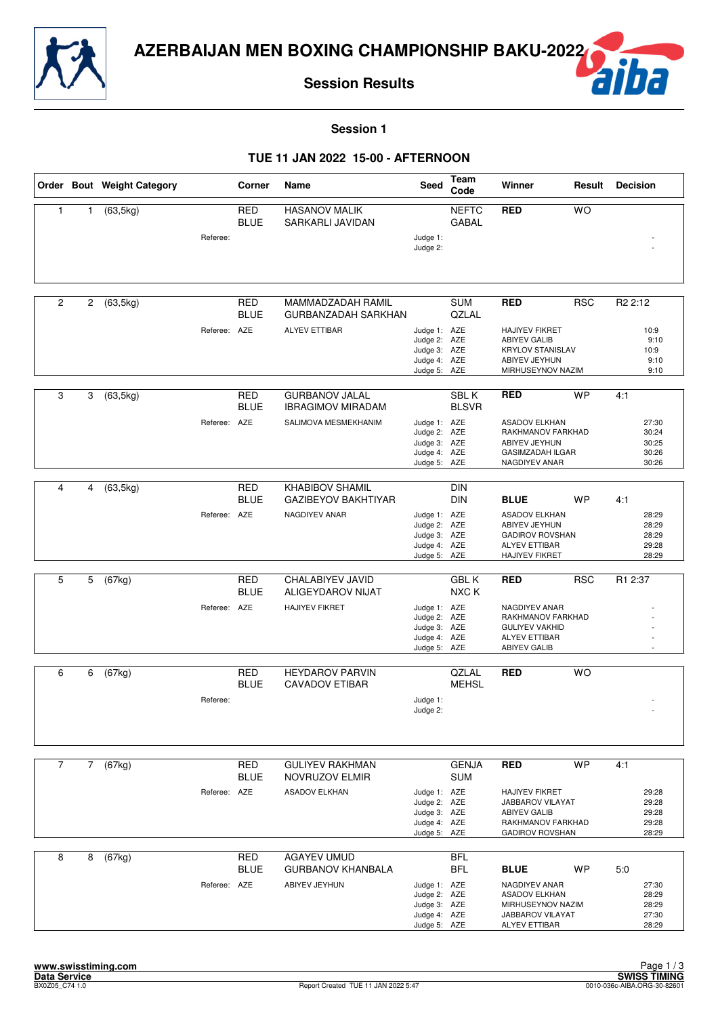



**Session 1**

#### **TUE 11 JAN 2022 15-00 - AFTERNOON**

|                |             | Order Bout Weight Category |              | Corner                    | Name                                                 | Seed                                                                         | Team<br>Code                 | Winner                                                                                                               | Result     | <b>Decision</b>                           |
|----------------|-------------|----------------------------|--------------|---------------------------|------------------------------------------------------|------------------------------------------------------------------------------|------------------------------|----------------------------------------------------------------------------------------------------------------------|------------|-------------------------------------------|
| $\mathbf{1}$   | 1           | (63, 5kg)                  |              | <b>RED</b><br><b>BLUE</b> | <b>HASANOV MALIK</b><br>SARKARLI JAVIDAN             |                                                                              | <b>NEFTC</b><br><b>GABAL</b> | <b>RED</b>                                                                                                           | <b>WO</b>  |                                           |
|                |             |                            | Referee:     |                           |                                                      | Judge 1:<br>Judge 2:                                                         |                              |                                                                                                                      |            |                                           |
| $\overline{c}$ | 2           | (63, 5kg)                  |              | RED<br><b>BLUE</b>        | MAMMADZADAH RAMIL<br><b>GURBANZADAH SARKHAN</b>      |                                                                              | <b>SUM</b><br>QZLAL          | <b>RED</b>                                                                                                           | <b>RSC</b> | R <sub>2</sub> 2:12                       |
|                |             |                            | Referee: AZE |                           | <b>ALYEV ETTIBAR</b>                                 | Judge 1: AZE<br>Judge 2: AZE<br>Judge 3: AZE<br>Judge 4: AZE<br>Judge 5: AZE |                              | <b>HAJIYEV FIKRET</b><br><b>ABIYEV GALIB</b><br><b>KRYLOV STANISLAV</b><br>ABIYEV JEYHUN<br>MIRHUSEYNOV NAZIM        |            | 10:9<br>9:10<br>10:9<br>9:10<br>9:10      |
| 3              | 3           | (63, 5kg)                  |              | <b>RED</b><br><b>BLUE</b> | <b>GURBANOV JALAL</b><br><b>IBRAGIMOV MIRADAM</b>    |                                                                              | SBL K<br><b>BLSVR</b>        | <b>RED</b>                                                                                                           | <b>WP</b>  | 4:1                                       |
|                |             |                            | Referee: AZE |                           | SALIMOVA MESMEKHANIM                                 | Judge 1: AZE<br>Judge 2: AZE<br>Judge 3: AZE<br>Judge 4: AZE<br>Judge 5: AZE |                              | <b>ASADOV ELKHAN</b><br>RAKHMANOV FARKHAD<br><b>ABIYEV JEYHUN</b><br><b>GASIMZADAH ILGAR</b><br><b>NAGDIYEV ANAR</b> |            | 27:30<br>30:24<br>30:25<br>30:26<br>30:26 |
| 4              | 4           | (63, 5kg)                  |              | <b>RED</b><br><b>BLUE</b> | <b>KHABIBOV SHAMIL</b><br><b>GAZIBEYOV BAKHTIYAR</b> |                                                                              | <b>DIN</b><br><b>DIN</b>     | <b>BLUE</b>                                                                                                          | <b>WP</b>  | 4:1                                       |
|                |             |                            | Referee: AZE |                           | NAGDIYEV ANAR                                        | Judge 1: AZE<br>Judge 2: AZE<br>Judge 3: AZE<br>Judge 4: AZE<br>Judge 5: AZE |                              | <b>ASADOV ELKHAN</b><br>ABIYEV JEYHUN<br><b>GADIROV ROVSHAN</b><br><b>ALYEV ETTIBAR</b><br><b>HAJIYEV FIKRET</b>     |            | 28:29<br>28:29<br>28:29<br>29:28<br>28:29 |
| 5              | 5           | (67kg)                     |              | <b>RED</b><br><b>BLUE</b> | CHALABIYEV JAVID<br>ALIGEYDAROV NIJAT                |                                                                              | <b>GBLK</b><br>NXC K         | <b>RED</b>                                                                                                           | <b>RSC</b> | R1 2:37                                   |
|                |             |                            | Referee: AZE |                           | <b>HAJIYEV FIKRET</b>                                | Judge 1: AZE<br>Judge 2: AZE<br>Judge 3: AZE<br>Judge 4: AZE<br>Judge 5: AZE |                              | NAGDIYEV ANAR<br>RAKHMANOV FARKHAD<br><b>GULIYEV VAKHID</b><br><b>ALYEV ETTIBAR</b><br><b>ABIYEV GALIB</b>           |            |                                           |
| 6              | 6           | (67kg)                     |              | RED<br><b>BLUE</b>        | <b>HEYDAROV PARVIN</b><br><b>CAVADOV ETIBAR</b>      |                                                                              | QZLAL<br><b>MEHSL</b>        | <b>RED</b>                                                                                                           | <b>WO</b>  |                                           |
|                |             |                            | Referee:     |                           |                                                      | Judge 1:<br>Judge 2:                                                         |                              |                                                                                                                      |            |                                           |
| $\overline{7}$ | $7^{\circ}$ | (67kg)                     |              | <b>RED</b><br><b>BLUE</b> | <b>GULIYEV RAKHMAN</b><br>NOVRUZOV ELMIR             |                                                                              | <b>GENJA</b><br><b>SUM</b>   | <b>RED</b>                                                                                                           | <b>WP</b>  | 4:1                                       |
|                |             |                            | Referee: AZE |                           | <b>ASADOV ELKHAN</b>                                 | Judge 1: AZE<br>Judge 2: AZE<br>Judge 3: AZE<br>Judge 4: AZE<br>Judge 5: AZE |                              | <b>HAJIYEV FIKRET</b><br>JABBAROV VILAYAT<br><b>ABIYEV GALIB</b><br>RAKHMANOV FARKHAD<br><b>GADIROV ROVSHAN</b>      |            | 29:28<br>29:28<br>29:28<br>29:28<br>28:29 |
| 8              | 8           | (67kg)                     |              | <b>RED</b><br><b>BLUE</b> | <b>AGAYEV UMUD</b><br><b>GURBANOV KHANBALA</b>       |                                                                              | <b>BFL</b><br><b>BFL</b>     | <b>BLUE</b>                                                                                                          | <b>WP</b>  | 5:0                                       |
|                |             |                            | Referee: AZE |                           | ABIYEV JEYHUN                                        | Judge 1: AZE<br>Judge 2: AZE<br>Judge 3: AZE<br>Judge 4: AZE<br>Judge 5: AZE |                              | NAGDIYEV ANAR<br><b>ASADOV ELKHAN</b><br>MIRHUSEYNOV NAZIM<br>JABBAROV VILAYAT<br><b>ALYEV ETTIBAR</b>               |            | 27:30<br>28:29<br>28:29<br>27:30<br>28:29 |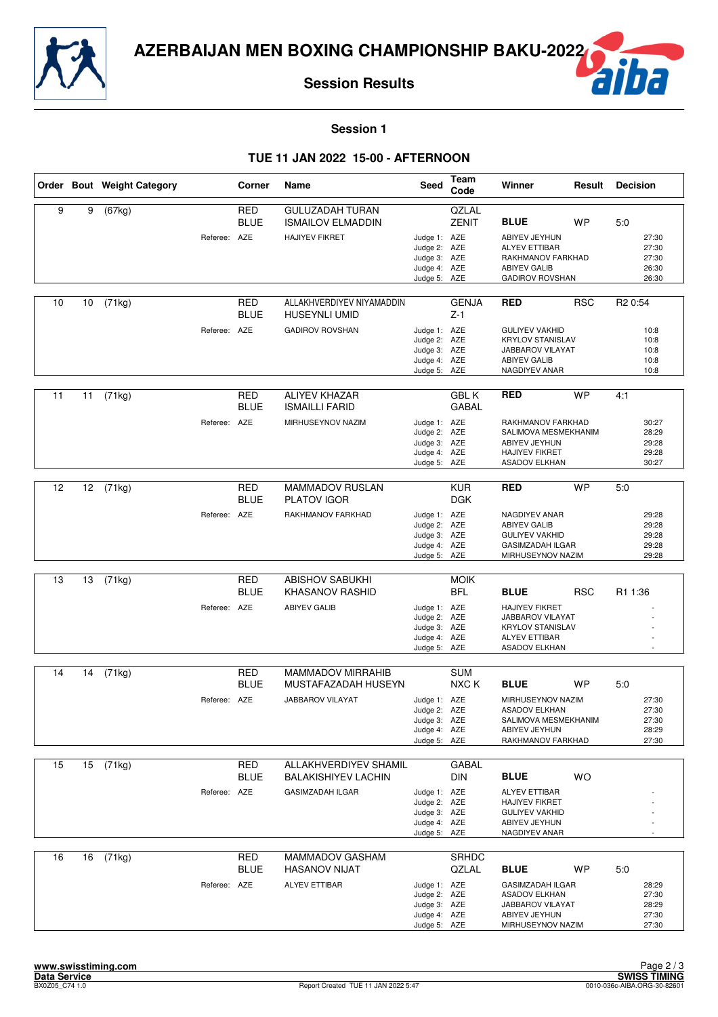



**Session 1**

#### **TUE 11 JAN 2022 15-00 - AFTERNOON**

|    |    | Order Bout Weight Category |              | Corner                    | Name                                                                                  | Seed                                                                         | Team<br>Code               | Winner                                                                                                                              | Result     | <b>Decision</b>                                             |
|----|----|----------------------------|--------------|---------------------------|---------------------------------------------------------------------------------------|------------------------------------------------------------------------------|----------------------------|-------------------------------------------------------------------------------------------------------------------------------------|------------|-------------------------------------------------------------|
| 9  | 9  | (67kg)                     | Referee: AZE | <b>RED</b><br><b>BLUE</b> | <b>GULUZADAH TURAN</b><br><b>ISMAILOV ELMADDIN</b><br><b>HAJIYEV FIKRET</b>           | Judge 1: AZE<br>Judge 2: AZE<br>Judge 3: AZE<br>Judge 4: AZE<br>Judge 5: AZE | QZLAL<br><b>ZENIT</b>      | <b>BLUE</b><br>ABIYEV JEYHUN<br><b>ALYEV ETTIBAR</b><br>RAKHMANOV FARKHAD<br><b>ABIYEV GALIB</b><br><b>GADIROV ROVSHAN</b>          | <b>WP</b>  | 5:0<br>27:30<br>27:30<br>27:30<br>26:30<br>26:30            |
| 10 | 10 | (71kg)                     | Referee: AZE | RED<br><b>BLUE</b>        | ALLAKHVERDIYEV NIYAMADDIN<br><b>HUSEYNLI UMID</b><br><b>GADIROV ROVSHAN</b>           | Judge 1: AZE<br>Judge 2: AZE<br>Judge 3: AZE<br>Judge 4: AZE<br>Judge 5: AZE | <b>GENJA</b><br>$Z-1$      | <b>RED</b><br><b>GULIYEV VAKHID</b><br><b>KRYLOV STANISLAV</b><br>JABBAROV VILAYAT<br><b>ABIYEV GALIB</b><br>NAGDIYEV ANAR          | <b>RSC</b> | R <sub>2</sub> 0:54<br>10:8<br>10:8<br>10:8<br>10:8<br>10:8 |
| 11 | 11 | (71kg)                     | Referee: AZE | RED<br><b>BLUE</b>        | <b>ALIYEV KHAZAR</b><br><b>ISMAILLI FARID</b><br>MIRHUSEYNOV NAZIM                    | Judge 1: AZE<br>Judge 2: AZE<br>Judge 3: AZE<br>Judge 4: AZE<br>Judge 5: AZE | GBL K<br><b>GABAL</b>      | <b>RED</b><br>RAKHMANOV FARKHAD<br>SALIMOVA MESMEKHANIM<br>ABIYEV JEYHUN<br><b>HAJIYEV FIKRET</b><br><b>ASADOV ELKHAN</b>           | <b>WP</b>  | 4:1<br>30:27<br>28:29<br>29:28<br>29:28<br>30:27            |
| 12 | 12 | (71kg)                     | Referee: AZE | <b>RED</b><br><b>BLUE</b> | MAMMADOV RUSLAN<br><b>PLATOV IGOR</b><br>RAKHMANOV FARKHAD                            | Judge 1: AZE<br>Judge 2: AZE<br>Judge 3: AZE<br>Judge 4: AZE<br>Judge 5: AZE | <b>KUR</b><br><b>DGK</b>   | <b>RED</b><br>NAGDIYEV ANAR<br><b>ABIYEV GALIB</b><br><b>GULIYEV VAKHID</b><br><b>GASIMZADAH ILGAR</b><br>MIRHUSEYNOV NAZIM         | <b>WP</b>  | 5:0<br>29:28<br>29:28<br>29:28<br>29:28<br>29:28            |
| 13 | 13 | (71kg)                     | Referee: AZE | <b>RED</b><br><b>BLUE</b> | <b>ABISHOV SABUKHI</b><br><b>KHASANOV RASHID</b><br><b>ABIYEV GALIB</b>               | Judge 1: AZE<br>Judge 2: AZE<br>Judge 3: AZE<br>Judge 4: AZE<br>Judge 5: AZE | <b>MOIK</b><br><b>BFL</b>  | <b>BLUE</b><br><b>HAJIYEV FIKRET</b><br>JABBAROV VILAYAT<br><b>KRYLOV STANISLAV</b><br><b>ALYEV ETTIBAR</b><br><b>ASADOV ELKHAN</b> | <b>RSC</b> | R1 1:36                                                     |
| 14 | 14 | (71kg)                     | Referee: AZE | RED<br><b>BLUE</b>        | <b>MAMMADOV MIRRAHIB</b><br>MUSTAFAZADAH HUSEYN<br>JABBAROV VILAYAT                   | Judge 1: AZE<br>Judge 2: AZE<br>Judge 3: AZE<br>Judge 4: AZE<br>Judge 5: AZE | <b>SUM</b><br>NXC K        | <b>BLUE</b><br>MIRHUSEYNOV NAZIM<br><b>ASADOV ELKHAN</b><br>SALIMOVA MESMEKHANIM<br>ABIYEV JEYHUN<br>RAKHMANOV FARKHAD              | <b>WP</b>  | 5:0<br>27:30<br>27:30<br>27:30<br>28:29<br>27:30            |
| 15 | 15 | (71kg)                     | Referee: AZE | RED<br><b>BLUE</b>        | <b>ALLAKHVERDIYEV SHAMIL</b><br><b>BALAKISHIYEV LACHIN</b><br><b>GASIMZADAH ILGAR</b> | Judge 1: AZE<br>Judge 2: AZE<br>Judge 3: AZE<br>Judge 4: AZE<br>Judge 5: AZE | <b>GABAL</b><br><b>DIN</b> | <b>BLUE</b><br><b>ALYEV ETTIBAR</b><br><b>HAJIYEV FIKRET</b><br><b>GULIYEV VAKHID</b><br>ABIYEV JEYHUN<br>NAGDIYEV ANAR             | <b>WO</b>  |                                                             |
| 16 | 16 | (71kg)                     | Referee: AZE | <b>RED</b><br><b>BLUE</b> | MAMMADOV GASHAM<br><b>HASANOV NIJAT</b><br><b>ALYEV ETTIBAR</b>                       | Judge 1: AZE<br>Judge 2: AZE<br>Judge 3: AZE<br>Judge 4: AZE<br>Judge 5: AZE | <b>SRHDC</b><br>QZLAL      | <b>BLUE</b><br><b>GASIMZADAH ILGAR</b><br><b>ASADOV ELKHAN</b><br>JABBAROV VILAYAT<br>ABIYEV JEYHUN<br>MIRHUSEYNOV NAZIM            | <b>WP</b>  | 5:0<br>28:29<br>27:30<br>28:29<br>27:30<br>27:30            |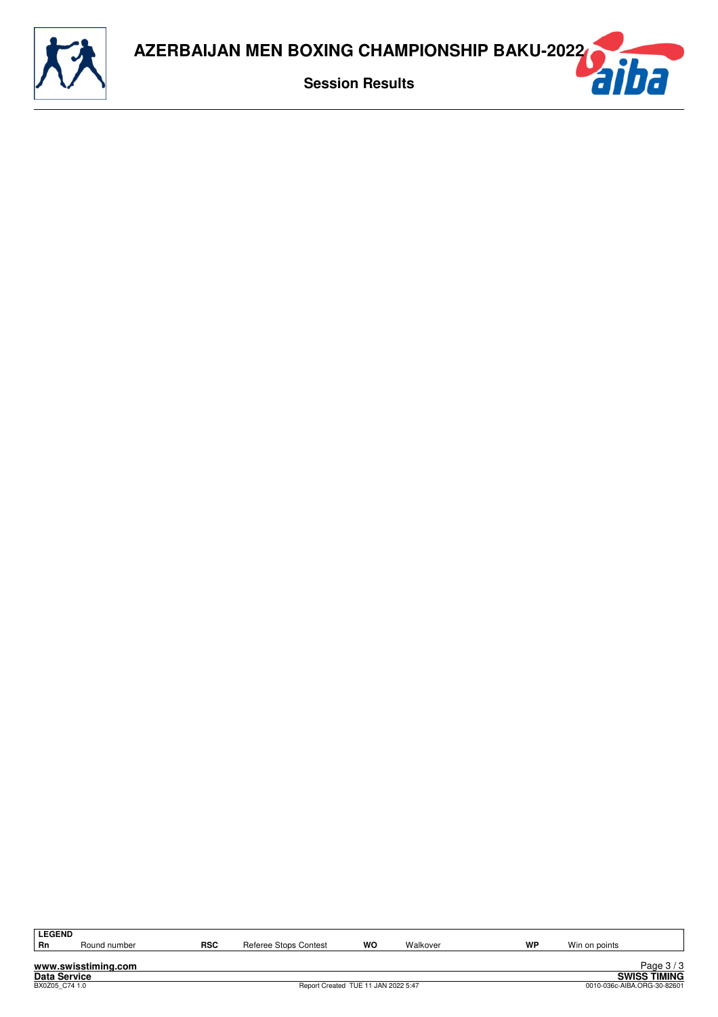

| <b>LEGEND</b>  |                     |            |                       |                                     |          |    |               |                             |
|----------------|---------------------|------------|-----------------------|-------------------------------------|----------|----|---------------|-----------------------------|
| <b>Rn</b>      | Round number        | <b>RSC</b> | Referee Stops Contest | WO                                  | Walkover | WP | Win on points |                             |
|                |                     |            |                       |                                     |          |    |               |                             |
|                | www.swisstiming.com |            |                       |                                     |          |    |               | Page $3/3$                  |
| Data Service   |                     |            |                       |                                     |          |    |               | <b>SWISS TIMING</b>         |
| BX0Z05 C74 1.0 |                     |            |                       | Report Created TUE 11 JAN 2022 5:47 |          |    |               | 0010-036c-AIBA.ORG-30-82601 |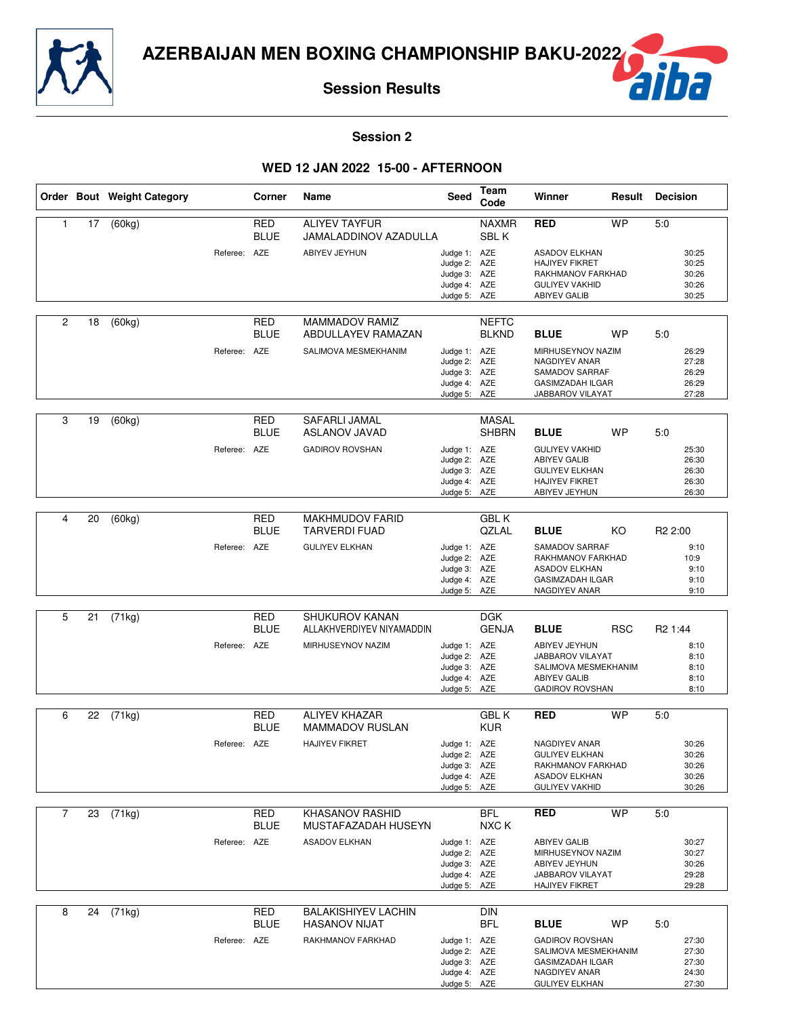



#### **Session 2**

#### **WED 12 JAN 2022 15-00 - AFTERNOON**

|                |    | Order Bout Weight Category |              | Corner                    | Name                                               | Seed                                                                         | Team<br>Code                 | Winner                                                                                                                             | Result     | <b>Decision</b>                                             |
|----------------|----|----------------------------|--------------|---------------------------|----------------------------------------------------|------------------------------------------------------------------------------|------------------------------|------------------------------------------------------------------------------------------------------------------------------------|------------|-------------------------------------------------------------|
| $\mathbf{1}$   | 17 | (60kg)                     |              | RED<br><b>BLUE</b>        | <b>ALIYEV TAYFUR</b><br>JAMALADDINOV AZADULLA      |                                                                              | <b>NAXMR</b><br>SBL K        | <b>RED</b>                                                                                                                         | <b>WP</b>  | 5:0                                                         |
|                |    |                            | Referee: AZE |                           | ABIYEV JEYHUN                                      | Judge 1: AZE<br>Judge 2: AZE<br>Judge 3: AZE<br>Judge 4: AZE<br>Judge 5: AZE |                              | <b>ASADOV ELKHAN</b><br><b>HAJIYEV FIKRET</b><br>RAKHMANOV FARKHAD<br><b>GULIYEV VAKHID</b><br><b>ABIYEV GALIB</b>                 |            | 30:25<br>30:25<br>30:26<br>30:26<br>30:25                   |
| $\overline{c}$ | 18 | (60kg)                     |              | <b>RED</b><br><b>BLUE</b> | MAMMADOV RAMIZ<br>ABDULLAYEV RAMAZAN               |                                                                              | <b>NEFTC</b><br><b>BLKND</b> | <b>BLUE</b>                                                                                                                        | <b>WP</b>  | 5:0                                                         |
|                |    |                            | Referee: AZE |                           | SALIMOVA MESMEKHANIM                               | Judge 1: AZE<br>Judge 2: AZE<br>Judge 3: AZE<br>Judge 4: AZE<br>Judge 5: AZE |                              | MIRHUSEYNOV NAZIM<br>NAGDIYEV ANAR<br>SAMADOV SARRAF<br><b>GASIMZADAH ILGAR</b><br>JABBAROV VILAYAT                                |            | 26:29<br>27:28<br>26:29<br>26:29<br>27:28                   |
| 3              | 19 | (60kg)                     |              | RED<br><b>BLUE</b>        | SAFARLI JAMAL<br><b>ASLANOV JAVAD</b>              |                                                                              | <b>MASAL</b><br><b>SHBRN</b> | <b>BLUE</b>                                                                                                                        | <b>WP</b>  | 5:0                                                         |
|                |    |                            | Referee: AZE |                           | <b>GADIROV ROVSHAN</b>                             | Judge 1: AZE<br>Judge 2: AZE<br>Judge 3: AZE<br>Judge 4: AZE<br>Judge 5: AZE |                              | <b>GULIYEV VAKHID</b><br><b>ABIYEV GALIB</b><br><b>GULIYEV ELKHAN</b><br><b>HAJIYEV FIKRET</b><br>ABIYEV JEYHUN                    |            | 25:30<br>26:30<br>26:30<br>26:30<br>26:30                   |
| 4              | 20 | (60kg)                     |              | <b>RED</b>                | <b>MAKHMUDOV FARID</b>                             |                                                                              | <b>GBL K</b>                 |                                                                                                                                    |            |                                                             |
|                |    |                            | Referee: AZE | BLUE                      | <b>TARVERDI FUAD</b><br><b>GULIYEV ELKHAN</b>      | Judge 1: AZE<br>Judge 2: AZE<br>Judge 3: AZE<br>Judge 4: AZE<br>Judge 5: AZE | QZLAL                        | <b>BLUE</b><br>SAMADOV SARRAF<br>RAKHMANOV FARKHAD<br><b>ASADOV ELKHAN</b><br><b>GASIMZADAH ILGAR</b><br>NAGDIYEV ANAR             | KO         | R <sub>2</sub> 2:00<br>9:10<br>10:9<br>9:10<br>9:10<br>9:10 |
| 5              | 21 | (71kg)                     |              | <b>RED</b><br><b>BLUE</b> | <b>SHUKUROV KANAN</b><br>ALLAKHVERDIYEV NIYAMADDIN |                                                                              | <b>DGK</b><br><b>GENJA</b>   | <b>BLUE</b>                                                                                                                        | <b>RSC</b> | R <sub>2</sub> 1:44                                         |
|                |    |                            | Referee: AZE |                           | MIRHUSEYNOV NAZIM                                  | Judge 1: AZE<br>Judge 2: AZE<br>Judge 3: AZE<br>Judge 4: AZE<br>Judge 5: AZE |                              | ABIYEV JEYHUN<br>JABBAROV VILAYAT<br>SALIMOVA MESMEKHANIM<br><b>ABIYEV GALIB</b><br><b>GADIROV ROVSHAN</b>                         |            | 8:10<br>8:10<br>8:10<br>8:10<br>8:10                        |
| 6              | 22 | (71kg)                     |              | <b>RED</b>                | <b>ALIYEV KHAZAR</b>                               |                                                                              | <b>GBL K</b>                 | <b>RED</b>                                                                                                                         | <b>WP</b>  | 5:0                                                         |
|                |    |                            |              | <b>BLUE</b>               | <b>MAMMADOV RUSLAN</b>                             |                                                                              | <b>KUR</b>                   |                                                                                                                                    |            |                                                             |
|                |    |                            | Referee: AZE |                           | <b>HAJIYEV FIKRET</b>                              | Judge 1: AZE<br>Judge 2: AZE<br>Judge 3: AZE<br>Judge 4: AZE<br>Judge 5: AZE |                              | NAGDIYEV ANAR<br><b>GULIYEV ELKHAN</b><br>RAKHMANOV FARKHAD<br><b>ASADOV ELKHAN</b><br><b>GULIYEV VAKHID</b>                       |            | 30:26<br>30:26<br>30:26<br>30:26<br>30:26                   |
| $\overline{7}$ | 23 | (71kg)                     |              | <b>RED</b>                | KHASANOV RASHID                                    |                                                                              | <b>BFL</b>                   | <b>RED</b>                                                                                                                         | <b>WP</b>  | 5:0                                                         |
|                |    |                            |              | BLUE                      | MUSTAFAZADAH HUSEYN                                |                                                                              | NXC K                        |                                                                                                                                    |            |                                                             |
|                |    |                            | Referee: AZE |                           | <b>ASADOV ELKHAN</b>                               | Judge 1: AZE<br>Judge 2: AZE<br>Judge 3: AZE<br>Judge 4: AZE<br>Judge 5: AZE |                              | <b>ABIYEV GALIB</b><br>MIRHUSEYNOV NAZIM<br>ABIYEV JEYHUN<br>JABBAROV VILAYAT<br><b>HAJIYEV FIKRET</b>                             |            | 30:27<br>30:27<br>30:26<br>29:28<br>29:28                   |
| 8              | 24 | (71kg)                     |              | <b>RED</b>                | <b>BALAKISHIYEV LACHIN</b>                         |                                                                              | <b>DIN</b>                   |                                                                                                                                    |            |                                                             |
|                |    |                            | Referee: AZE | <b>BLUE</b>               | <b>HASANOV NIJAT</b><br>RAKHMANOV FARKHAD          | Judge 1: AZE<br>Judge 2: AZE<br>Judge 3: AZE<br>Judge 4: AZE<br>Judge 5: AZE | <b>BFL</b>                   | <b>BLUE</b><br><b>GADIROV ROVSHAN</b><br>SALIMOVA MESMEKHANIM<br><b>GASIMZADAH ILGAR</b><br>NAGDIYEV ANAR<br><b>GULIYEV ELKHAN</b> | WP         | 5:0<br>27:30<br>27:30<br>27:30<br>24:30<br>27:30            |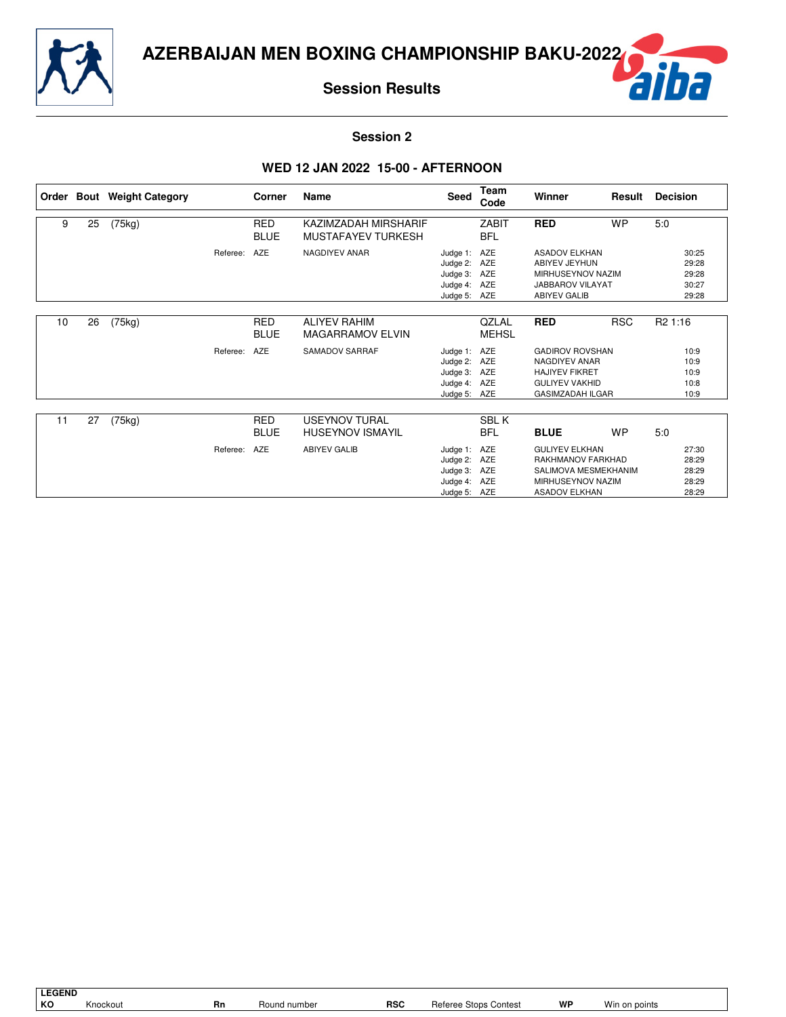

### ba f.)

#### **Session 2**

#### **WED 12 JAN 2022 15-00 - AFTERNOON**

|    |    | Order Bout Weight Category |          | Corner                    | Name                                            | Seed                                                                         | Team<br>Code               | Winner                                                                                                                      | Result     | <b>Decision</b>                           |
|----|----|----------------------------|----------|---------------------------|-------------------------------------------------|------------------------------------------------------------------------------|----------------------------|-----------------------------------------------------------------------------------------------------------------------------|------------|-------------------------------------------|
| 9  | 25 | (75kg)                     |          | <b>RED</b><br><b>BLUE</b> | KAZIMZADAH MIRSHARIF<br>MUSTAFAYEV TURKESH      |                                                                              | <b>ZABIT</b><br><b>BFL</b> | <b>RED</b>                                                                                                                  | <b>WP</b>  | 5:0                                       |
|    |    |                            | Referee: | <b>AZE</b>                | NAGDIYEV ANAR                                   | Judge 1: AZE<br>Judge 2: AZE<br>Judge 3: AZE<br>Judge 4: AZE<br>Judge 5: AZE |                            | <b>ASADOV ELKHAN</b><br>ABIYEV JEYHUN<br>MIRHUSEYNOV NAZIM<br><b>JABBAROV VILAYAT</b><br><b>ABIYEV GALIB</b>                |            | 30:25<br>29:28<br>29:28<br>30:27<br>29:28 |
| 10 | 26 | (75kg)                     |          | RED<br><b>BLUE</b>        | <b>ALIYEV RAHIM</b><br><b>MAGARRAMOV ELVIN</b>  |                                                                              | QZLAL<br><b>MEHSL</b>      | <b>RED</b>                                                                                                                  | <b>RSC</b> | R <sub>2</sub> 1:16                       |
|    |    |                            | Referee: | <b>AZE</b>                | SAMADOV SARRAF                                  | Judge 1: AZE<br>Judge 2: AZE<br>Judge 3: AZE<br>Judge 4: AZE<br>Judge 5: AZE |                            | <b>GADIROV ROVSHAN</b><br><b>NAGDIYEV ANAR</b><br><b>HAJIYEV FIKRET</b><br><b>GULIYEV VAKHID</b><br><b>GASIMZADAH ILGAR</b> |            | 10:9<br>10:9<br>10:9<br>10:8<br>10:9      |
| 11 | 27 | (75kg)                     |          | RED<br><b>BLUE</b>        | <b>USEYNOV TURAL</b><br><b>HUSEYNOV ISMAYIL</b> |                                                                              | <b>SBLK</b><br><b>BFL</b>  | <b>BLUE</b>                                                                                                                 | <b>WP</b>  | 5:0                                       |
|    |    |                            | Referee: | AZE                       | <b>ABIYEV GALIB</b>                             | Judge 1: AZE<br>Judge 2: AZE<br>Judge 3: AZE<br>Judge 4: AZE<br>Judge 5: AZE |                            | <b>GULIYEV ELKHAN</b><br>RAKHMANOV FARKHAD<br>SALIMOVA MESMEKHANIM<br>MIRHUSEYNOV NAZIM<br><b>ASADOV ELKHAN</b>             |            | 27:30<br>28:29<br>28:29<br>28:29<br>28:29 |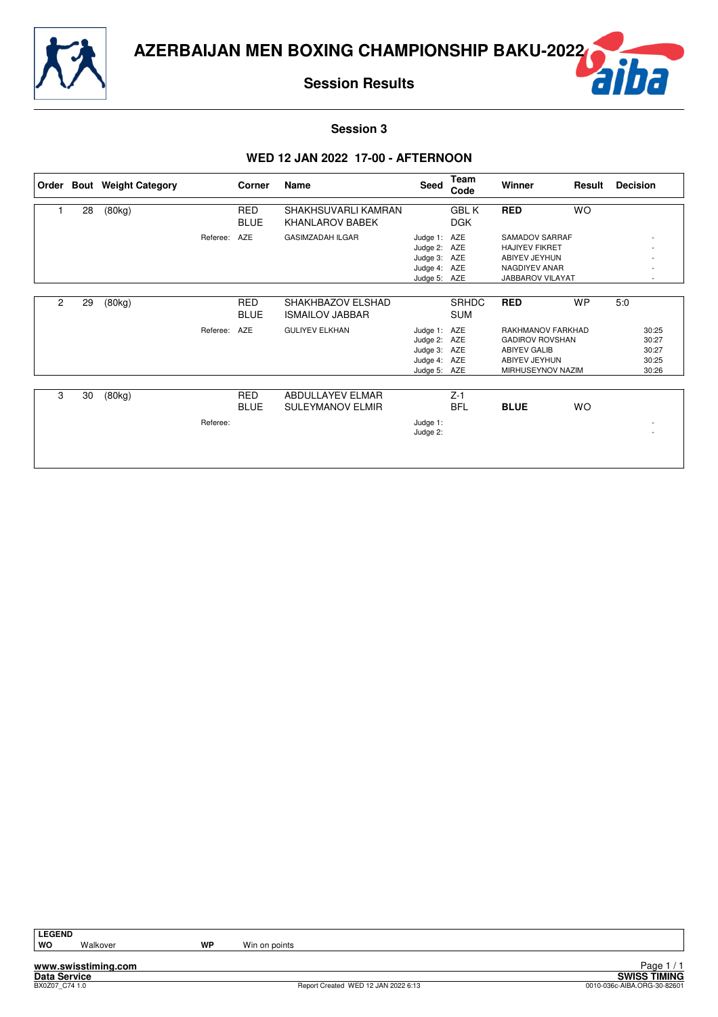

ŕ

#### **Session 3**

#### **WED 12 JAN 2022 17-00 - AFTERNOON**

| Order |    | <b>Bout</b> Weight Category |          | Corner                    | Name                                          | Seed                                                                         | Team<br>Code               | <b>Winner</b>                                                                                               | Result    | <b>Decision</b>                           |
|-------|----|-----------------------------|----------|---------------------------|-----------------------------------------------|------------------------------------------------------------------------------|----------------------------|-------------------------------------------------------------------------------------------------------------|-----------|-------------------------------------------|
|       | 28 | (80kg)                      |          | <b>RED</b><br><b>BLUE</b> | SHAKHSUVARLI KAMRAN<br><b>KHANLAROV BABEK</b> |                                                                              | <b>GBL K</b><br><b>DGK</b> | <b>RED</b>                                                                                                  | <b>WO</b> |                                           |
|       |    |                             | Referee: | AZE                       | <b>GASIMZADAH ILGAR</b>                       | Judge 1: AZE<br>Judge 2: AZE<br>Judge 3: AZE<br>Judge 4: AZE<br>Judge 5: AZE |                            | SAMADOV SARRAF<br><b>HAJIYEV FIKRET</b><br>ABIYEV JEYHUN<br><b>NAGDIYEV ANAR</b><br><b>JABBAROV VILAYAT</b> |           |                                           |
| 2     | 29 | (80kg)                      |          | <b>RED</b><br><b>BLUE</b> | SHAKHBAZOV ELSHAD<br><b>ISMAILOV JABBAR</b>   |                                                                              | <b>SRHDC</b><br><b>SUM</b> | <b>RED</b>                                                                                                  | <b>WP</b> | 5:0                                       |
|       |    |                             | Referee: | AZE                       | <b>GULIYEV ELKHAN</b>                         | Judge 1: AZE<br>Judge 2: AZE<br>Judge 3: AZE<br>Judge 4: AZE<br>Judge 5: AZE |                            | RAKHMANOV FARKHAD<br><b>GADIROV ROVSHAN</b><br><b>ABIYEV GALIB</b><br>ABIYEV JEYHUN<br>MIRHUSEYNOV NAZIM    |           | 30:25<br>30:27<br>30:27<br>30:25<br>30:26 |
| 3     | 30 | (80kg)                      | Referee: | <b>RED</b><br><b>BLUE</b> | ABDULLAYEV ELMAR<br><b>SULEYMANOV ELMIR</b>   | Judge 1:<br>Judge 2:                                                         | $Z-1$<br><b>BFL</b>        | <b>BLUE</b>                                                                                                 | <b>WO</b> |                                           |

**www.swisstiming.com Data Service SWISS TIMING**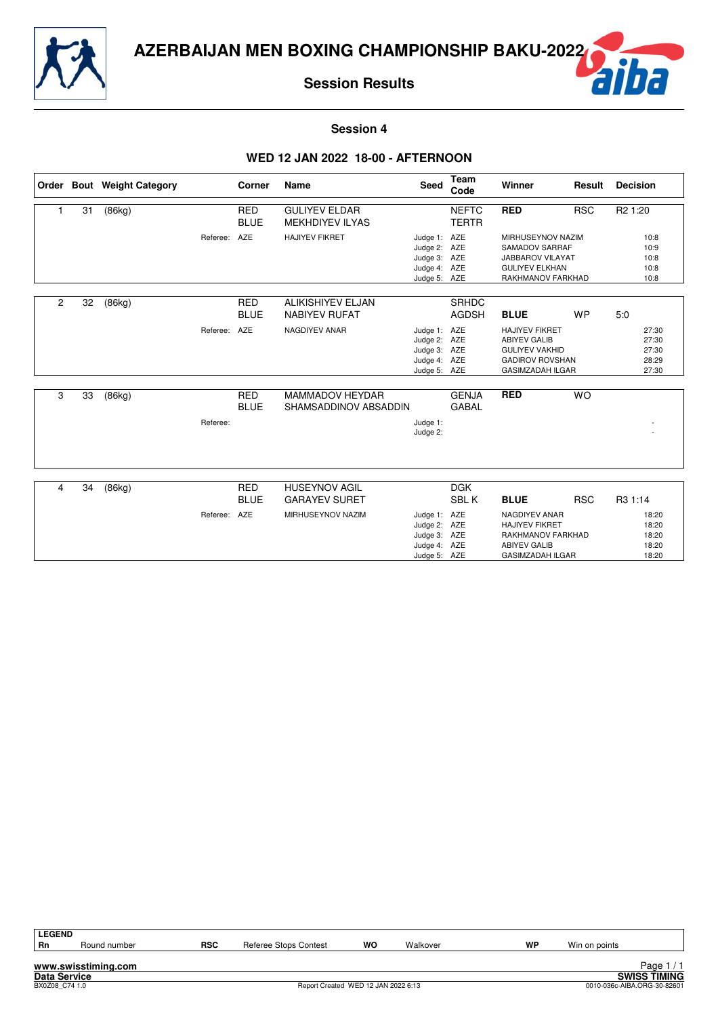



**Session 4**

#### **WED 12 JAN 2022 18-00 - AFTERNOON**

|   |    | Order Bout Weight Category |              | Corner                    | <b>Name</b>                                      | <b>Seed</b>                                                                  | Team<br>Code                 | Winner                                                                                                                     | Result     | <b>Decision</b>                           |
|---|----|----------------------------|--------------|---------------------------|--------------------------------------------------|------------------------------------------------------------------------------|------------------------------|----------------------------------------------------------------------------------------------------------------------------|------------|-------------------------------------------|
| 1 | 31 | (86kg)                     |              | <b>RED</b><br><b>BLUE</b> | <b>GULIYEV ELDAR</b><br><b>MEKHDIYEV ILYAS</b>   |                                                                              | <b>NEFTC</b><br><b>TERTR</b> | <b>RED</b>                                                                                                                 | <b>RSC</b> | R <sub>2</sub> 1:20                       |
|   |    |                            | Referee: AZE |                           | <b>HAJIYEV FIKRET</b>                            | Judge 1: AZE<br>Judge 2: AZE<br>Judge 3: AZE<br>Judge 4: AZE                 |                              | MIRHUSEYNOV NAZIM<br>SAMADOV SARRAF<br>JABBAROV VILAYAT<br><b>GULIYEV ELKHAN</b>                                           |            | 10:8<br>10:9<br>10:8<br>10:8              |
|   |    |                            |              |                           |                                                  | Judge 5: AZE                                                                 |                              | RAKHMANOV FARKHAD                                                                                                          |            | 10:8                                      |
| 2 | 32 | (86kg)                     |              | <b>RED</b><br><b>BLUE</b> | <b>ALIKISHIYEV ELJAN</b><br><b>NABIYEV RUFAT</b> |                                                                              | <b>SRHDC</b><br><b>AGDSH</b> | <b>BLUE</b>                                                                                                                | <b>WP</b>  | 5:0                                       |
|   |    |                            | Referee: AZE |                           | NAGDIYEV ANAR                                    | Judge 1: AZE<br>Judge 2: AZE<br>Judge 3: AZE<br>Judge 4: AZE<br>Judge 5: AZE |                              | <b>HAJIYEV FIKRET</b><br><b>ABIYEV GALIB</b><br><b>GULIYEV VAKHID</b><br><b>GADIROV ROVSHAN</b><br><b>GASIMZADAH ILGAR</b> |            | 27:30<br>27:30<br>27:30<br>28:29<br>27:30 |
| 3 | 33 | (86kg)                     | Referee:     | <b>RED</b><br><b>BLUE</b> | MAMMADOV HEYDAR<br>SHAMSADDINOV ABSADDIN         | Judge 1:                                                                     | <b>GENJA</b><br><b>GABAL</b> | <b>RED</b>                                                                                                                 | <b>WO</b>  |                                           |
|   |    |                            |              |                           |                                                  | Judge 2:                                                                     |                              |                                                                                                                            |            |                                           |
| 4 | 34 | (86kg)                     |              | <b>RED</b>                | <b>HUSEYNOV AGIL</b>                             |                                                                              | <b>DGK</b>                   |                                                                                                                            |            |                                           |
|   |    |                            |              | <b>BLUE</b>               | <b>GARAYEV SURET</b>                             |                                                                              | SBL K                        | <b>BLUE</b>                                                                                                                | <b>RSC</b> | R3 1:14                                   |
|   |    |                            | Referee:     | AZE                       | MIRHUSEYNOV NAZIM                                | Judge 1: AZE<br>Judge 2: AZE<br>Judge 3: AZE<br>Judge 4: AZE                 |                              | NAGDIYEV ANAR<br><b>HAJIYEV FIKRET</b><br>RAKHMANOV FARKHAD<br><b>ABIYEV GALIB</b>                                         |            | 18:20<br>18:20<br>18:20<br>18:20          |

Judge 5:

AZE

GASIMZADAH ILGAR

18:20

| <b>LEGEND</b>       |                     |            |                                     |    |          |    |               |                             |
|---------------------|---------------------|------------|-------------------------------------|----|----------|----|---------------|-----------------------------|
| Rn                  | Round number        | <b>RSC</b> | Referee Stops Contest               | wo | Walkover | WF | Win on points |                             |
|                     |                     |            |                                     |    |          |    |               |                             |
|                     | www.swisstiming.com |            |                                     |    |          |    |               | Page $1/1$                  |
| <b>Data Service</b> |                     |            |                                     |    |          |    |               | <b>SWISS TIMING</b>         |
| BX0Z08 C74 1.0      |                     |            | Report Created WED 12 JAN 2022 6:13 |    |          |    |               | 0010-036c-AIBA.ORG-30-82601 |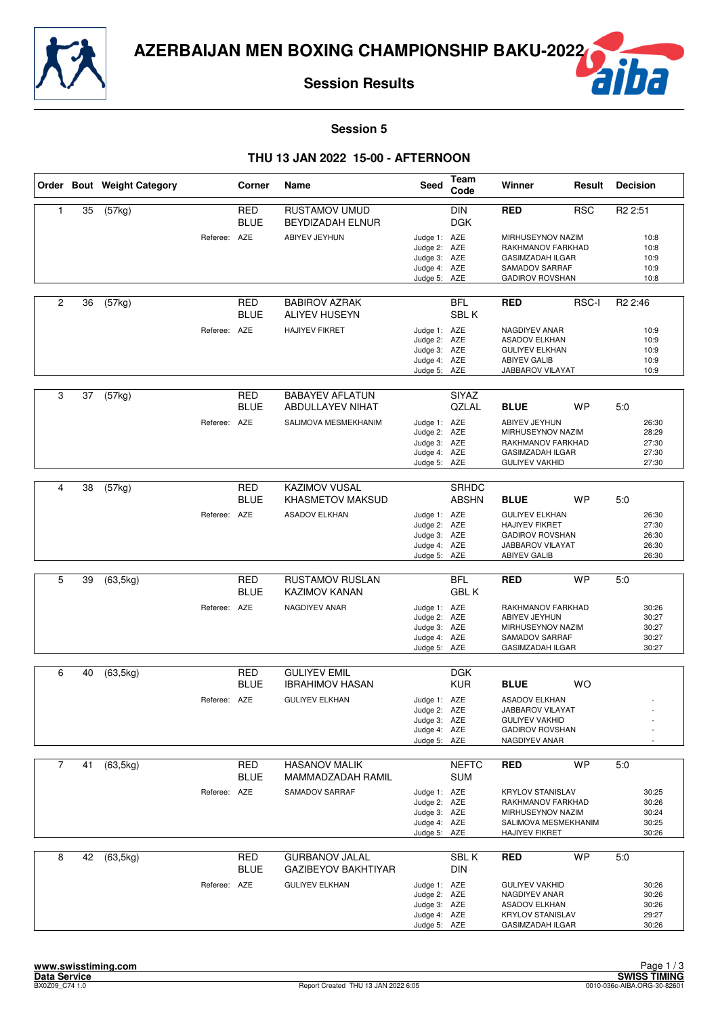



**Session 5**

#### **THU 13 JAN 2022 15-00 - AFTERNOON**

|                |    | Order Bout Weight Category |              | Corner                    | Name                                                | <b>Seed</b>                                                                  | Team<br>Code                 | Winner                                                                                                              | Result     | <b>Decision</b>                           |                                           |
|----------------|----|----------------------------|--------------|---------------------------|-----------------------------------------------------|------------------------------------------------------------------------------|------------------------------|---------------------------------------------------------------------------------------------------------------------|------------|-------------------------------------------|-------------------------------------------|
| 1              | 35 | (57kg)                     |              | <b>RED</b><br><b>BLUE</b> | <b>RUSTAMOV UMUD</b><br><b>BEYDIZADAH ELNUR</b>     |                                                                              | <b>DIN</b><br><b>DGK</b>     | <b>RED</b>                                                                                                          | <b>RSC</b> | R <sub>2</sub> 2:51                       |                                           |
|                |    |                            | Referee: AZE |                           | ABIYEV JEYHUN                                       | Judge 1: AZE<br>Judge 2: AZE<br>Judge 3: AZE<br>Judge 4: AZE<br>Judge 5: AZE |                              | MIRHUSEYNOV NAZIM<br>RAKHMANOV FARKHAD<br><b>GASIMZADAH ILGAR</b><br>SAMADOV SARRAF<br><b>GADIROV ROVSHAN</b>       |            | 10:8<br>10:8<br>10:9<br>10:9<br>10:8      |                                           |
| 2              | 36 | (57kg)                     |              | <b>RED</b><br><b>BLUE</b> | <b>BABIROV AZRAK</b><br><b>ALIYEV HUSEYN</b>        |                                                                              | <b>BFL</b><br>SBL K          | <b>RED</b>                                                                                                          | RSC-I      | R <sub>2</sub> 2:46                       |                                           |
|                |    |                            | Referee: AZE |                           | <b>HAJIYEV FIKRET</b>                               | Judge 1: AZE<br>Judge 2: AZE<br>Judge 3: AZE<br>Judge 4: AZE<br>Judge 5: AZE |                              | NAGDIYEV ANAR<br><b>ASADOV ELKHAN</b><br><b>GULIYEV ELKHAN</b><br><b>ABIYEV GALIB</b><br>JABBAROV VILAYAT           |            | 10:9<br>10:9<br>10:9<br>10:9<br>10:9      |                                           |
| 3              | 37 | (57kg)                     |              | <b>RED</b><br><b>BLUE</b> | <b>BABAYEV AFLATUN</b><br><b>ABDULLAYEV NIHAT</b>   |                                                                              | SIYAZ<br><b>QZLAL</b>        | <b>BLUE</b>                                                                                                         | WP         | 5:0                                       |                                           |
|                |    |                            | Referee: AZE |                           | SALIMOVA MESMEKHANIM                                | Judge 1: AZE<br>Judge 2: AZE<br>Judge 3: AZE<br>Judge 4: AZE<br>Judge 5: AZE |                              | ABIYEV JEYHUN<br>MIRHUSEYNOV NAZIM<br>RAKHMANOV FARKHAD<br><b>GASIMZADAH ILGAR</b><br><b>GULIYEV VAKHID</b>         |            | 26:30<br>28:29<br>27:30<br>27:30<br>27:30 |                                           |
|                |    |                            |              |                           |                                                     |                                                                              |                              |                                                                                                                     |            |                                           |                                           |
| 4              | 38 | (57kg)                     |              | <b>RED</b><br><b>BLUE</b> | KAZIMOV VUSAL<br>KHASMETOV MAKSUD                   |                                                                              | <b>SRHDC</b><br><b>ABSHN</b> | <b>BLUE</b>                                                                                                         | <b>WP</b>  | 5:0                                       |                                           |
|                |    |                            | Referee: AZE |                           | <b>ASADOV ELKHAN</b>                                | Judge 1: AZE<br>Judge 2: AZE<br>Judge 3: AZE<br>Judge 4: AZE<br>Judge 5: AZE |                              | <b>GULIYEV ELKHAN</b><br><b>HAJIYEV FIKRET</b><br><b>GADIROV ROVSHAN</b><br>JABBAROV VILAYAT<br><b>ABIYEV GALIB</b> |            | 26:30<br>27:30<br>26:30<br>26:30<br>26:30 |                                           |
|                |    |                            |              |                           |                                                     |                                                                              |                              |                                                                                                                     |            |                                           |                                           |
| 5              | 39 | (63, 5kg)                  |              | RED<br><b>BLUE</b>        | <b>RUSTAMOV RUSLAN</b><br><b>KAZIMOV KANAN</b>      |                                                                              | <b>BFL</b><br><b>GBL K</b>   | <b>RED</b>                                                                                                          | <b>WP</b>  | 5:0                                       |                                           |
|                |    |                            | Referee: AZE |                           | NAGDIYEV ANAR                                       | Judge 1: AZE<br>Judge 2: AZE<br>Judge 3: AZE<br>Judge 4: AZE<br>Judge 5: AZE |                              | RAKHMANOV FARKHAD<br>ABIYEV JEYHUN<br>MIRHUSEYNOV NAZIM<br>SAMADOV SARRAF<br><b>GASIMZADAH ILGAR</b>                |            | 30:26<br>30:27<br>30:27<br>30:27<br>30:27 |                                           |
|                |    |                            |              |                           | <b>GULIYEV EMIL</b>                                 |                                                                              |                              |                                                                                                                     |            |                                           |                                           |
| 6              | 40 | (63, 5kg)                  |              | RED<br><b>BLUE</b>        | <b>IBRAHIMOV HASAN</b>                              |                                                                              | DGK<br><b>KUR</b>            | <b>BLUE</b>                                                                                                         | <b>WO</b>  |                                           |                                           |
|                |    |                            | Referee: AZE |                           | <b>GULIYEV ELKHAN</b>                               | Judge 1: AZE<br>Judge 2: AZE<br>Judge 3: AZE<br>Judge 4: AZE<br>Judge 5: AZE |                              | <b>ASADOV ELKHAN</b><br><b>JABBAROV VILAYAT</b><br><b>GULIYEV VAKHID</b><br><b>GADIROV ROVSHAN</b><br>NAGDIYEV ANAR |            |                                           |                                           |
| $\overline{7}$ |    |                            |              |                           | <b>HASANOV MALIK</b>                                |                                                                              | <b>NEFTC</b>                 |                                                                                                                     | <b>WP</b>  |                                           |                                           |
|                | 41 | (63, 5kg)                  |              | RED<br><b>BLUE</b>        | MAMMADZADAH RAMIL                                   |                                                                              | <b>SUM</b>                   | <b>RED</b>                                                                                                          |            | 5:0                                       |                                           |
|                |    |                            | Referee: AZE |                           | SAMADOV SARRAF                                      | Judge 1: AZE<br>Judge 2: AZE<br>Judge 3: AZE<br>Judge 4: AZE<br>Judge 5: AZE |                              | <b>KRYLOV STANISLAV</b><br>RAKHMANOV FARKHAD<br>MIRHUSEYNOV NAZIM<br>SALIMOVA MESMEKHANIM<br><b>HAJIYEV FIKRET</b>  |            | 30:26                                     | 30:25<br>30:26<br>30:24<br>30:25          |
| 8              | 42 | (63, 5kg)                  |              | RED<br><b>BLUE</b>        | <b>GURBANOV JALAL</b><br><b>GAZIBEYOV BAKHTIYAR</b> |                                                                              | SBL K<br><b>DIN</b>          | RED                                                                                                                 | <b>WP</b>  | 5:0                                       |                                           |
|                |    |                            | Referee: AZE |                           | <b>GULIYEV ELKHAN</b>                               | Judge 1: AZE<br>Judge 2: AZE<br>Judge 3: AZE<br>Judge 4: AZE<br>Judge 5: AZE |                              | <b>GULIYEV VAKHID</b><br>NAGDIYEV ANAR<br><b>ASADOV ELKHAN</b><br><b>KRYLOV STANISLAV</b><br>GASIMZADAH ILGAR       |            |                                           | 30:26<br>30:26<br>30:26<br>29:27<br>30:26 |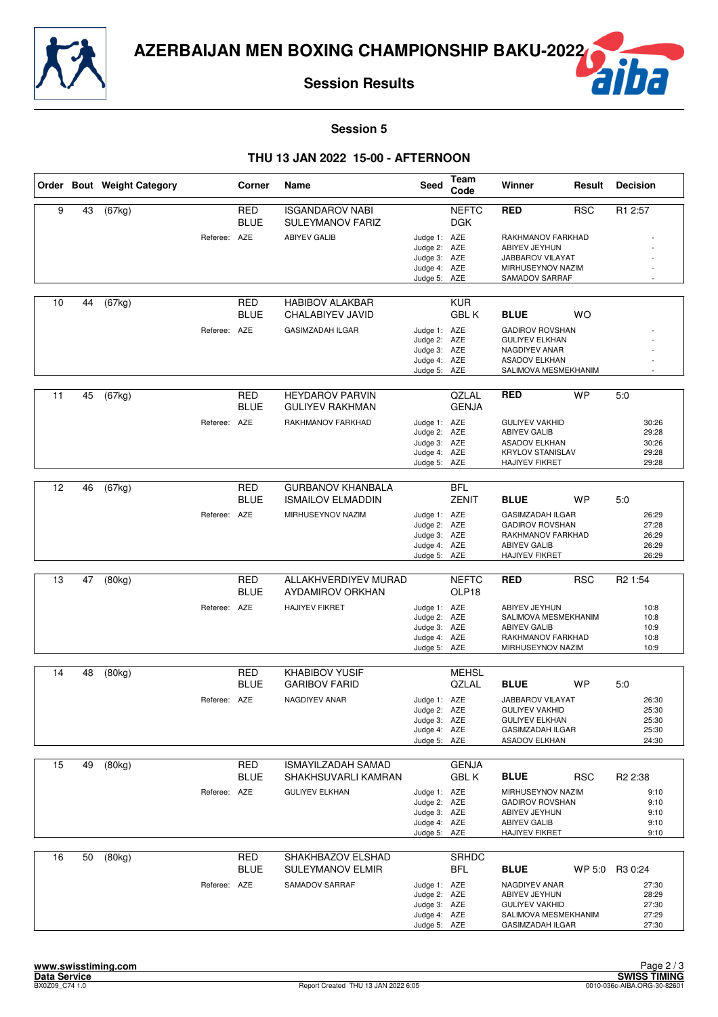



**Session 5**

#### **THU 13 JAN 2022 15-00 - AFTERNOON**

|    |    | Order Bout Weight Category |              | Corner                    | Name                                              | <b>Seed</b>                                                                  | Team<br>Code                 | Winner                                                                                                                                | Result     | <b>Decision</b>                                  |
|----|----|----------------------------|--------------|---------------------------|---------------------------------------------------|------------------------------------------------------------------------------|------------------------------|---------------------------------------------------------------------------------------------------------------------------------------|------------|--------------------------------------------------|
| 9  | 43 | (67kg)                     |              | RED<br><b>BLUE</b>        | <b>ISGANDAROV NABI</b><br><b>SULEYMANOV FARIZ</b> |                                                                              | <b>NEFTC</b><br><b>DGK</b>   | <b>RED</b>                                                                                                                            | <b>RSC</b> | R1 2:57                                          |
|    |    |                            | Referee: AZE |                           | <b>ABIYEV GALIB</b>                               | Judge 1: AZE<br>Judge 2: AZE<br>Judge 3: AZE<br>Judge 4: AZE<br>Judge 5: AZE |                              | RAKHMANOV FARKHAD<br>ABIYEV JEYHUN<br>JABBAROV VILAYAT<br>MIRHUSEYNOV NAZIM<br>SAMADOV SARRAF                                         |            |                                                  |
| 10 | 44 | (67kg)                     |              | RED<br><b>BLUE</b>        | <b>HABIBOV ALAKBAR</b><br>CHALABIYEV JAVID        |                                                                              | <b>KUR</b><br><b>GBLK</b>    | <b>BLUE</b>                                                                                                                           | <b>WO</b>  |                                                  |
|    |    |                            | Referee: AZE |                           | <b>GASIMZADAH ILGAR</b>                           | Judge 1: AZE<br>Judge 2: AZE<br>Judge 3: AZE<br>Judge 4: AZE<br>Judge 5: AZE |                              | <b>GADIROV ROVSHAN</b><br><b>GULIYEV ELKHAN</b><br>NAGDIYEV ANAR<br><b>ASADOV ELKHAN</b><br>SALIMOVA MESMEKHANIM                      |            |                                                  |
| 11 | 45 | (67kg)                     |              | <b>RED</b><br><b>BLUE</b> | <b>HEYDAROV PARVIN</b><br><b>GULIYEV RAKHMAN</b>  |                                                                              | <b>QZLAL</b><br><b>GENJA</b> | <b>RED</b>                                                                                                                            | <b>WP</b>  | 5:0                                              |
|    |    |                            | Referee: AZE |                           | RAKHMANOV FARKHAD                                 | Judge 1: AZE<br>Judge 2: AZE<br>Judge 3: AZE<br>Judge 4: AZE<br>Judge 5: AZE |                              | <b>GULIYEV VAKHID</b><br><b>ABIYEV GALIB</b><br><b>ASADOV ELKHAN</b><br><b>KRYLOV STANISLAV</b><br><b>HAJIYEV FIKRET</b>              |            | 30:26<br>29:28<br>30:26<br>29:28<br>29:28        |
| 12 | 46 | (67kg)                     |              | <b>RED</b>                | <b>GURBANOV KHANBALA</b>                          |                                                                              | <b>BFL</b>                   |                                                                                                                                       |            |                                                  |
|    |    |                            | Referee: AZE | <b>BLUE</b>               | <b>ISMAILOV ELMADDIN</b><br>MIRHUSEYNOV NAZIM     | Judge 1: AZE<br>Judge 2: AZE<br>Judge 3: AZE<br>Judge 4: AZE<br>Judge 5: AZE | <b>ZENIT</b>                 | <b>BLUE</b><br><b>GASIMZADAH ILGAR</b><br><b>GADIROV ROVSHAN</b><br>RAKHMANOV FARKHAD<br><b>ABIYEV GALIB</b><br><b>HAJIYEV FIKRET</b> | <b>WP</b>  | 5:0<br>26:29<br>27:28<br>26:29<br>26:29<br>26:29 |
|    |    |                            |              |                           |                                                   |                                                                              |                              |                                                                                                                                       |            |                                                  |
| 13 | 47 | (80kg)                     |              | <b>RED</b><br><b>BLUE</b> | ALLAKHVERDIYEV MURAD<br><b>AYDAMIROV ORKHAN</b>   |                                                                              | <b>NEFTC</b><br>OLP18        | <b>RED</b>                                                                                                                            | <b>RSC</b> | R <sub>2</sub> 1:54                              |
|    |    |                            | Referee: AZE |                           | <b>HAJIYEV FIKRET</b>                             | Judge 1: AZE<br>Judge 2: AZE<br>Judge 3: AZE<br>Judge 4: AZE<br>Judge 5: AZE |                              | ABIYEV JEYHUN<br>SALIMOVA MESMEKHANIM<br><b>ABIYEV GALIB</b><br>RAKHMANOV FARKHAD<br>MIRHUSEYNOV NAZIM                                |            | 10:8<br>10:8<br>10:9<br>10:8<br>10:9             |
| 14 | 48 | (80kg)                     |              | RED                       | <b>KHABIBOV YUSIF</b>                             |                                                                              | <b>MEHSL</b>                 |                                                                                                                                       |            |                                                  |
|    |    |                            |              | <b>BLUE</b>               | <b>GARIBOV FARID</b>                              |                                                                              | QZLAL                        | <b>BLUE</b>                                                                                                                           | <b>WP</b>  | 5:0                                              |
|    |    |                            | Referee: AZE |                           | NAGDIYEV ANAR                                     | Judge 1: AZE<br>Judge 2: AZE<br>Judge 3: AZE<br>Judge 4: AZE<br>Judge 5: AZE |                              | JABBAROV VILAYAT<br><b>GULIYEV VAKHID</b><br><b>GULIYEV ELKHAN</b><br><b>GASIMZADAH ILGAR</b><br><b>ASADOV ELKHAN</b>                 |            | 26:30<br>25:30<br>25:30<br>25:30<br>24:30        |
| 15 | 49 | (80kg)                     |              | <b>RED</b><br><b>BLUE</b> | <b>ISMAYILZADAH SAMAD</b><br>SHAKHSUVARLI KAMRAN  |                                                                              | <b>GENJA</b><br>GBL K        | <b>BLUE</b>                                                                                                                           | <b>RSC</b> | R <sub>2</sub> 2:38                              |
|    |    |                            | Referee: AZE |                           | <b>GULIYEV ELKHAN</b>                             | Judge 1: AZE<br>Judge 2: AZE<br>Judge 3: AZE<br>Judge 4: AZE<br>Judge 5: AZE |                              | MIRHUSEYNOV NAZIM<br><b>GADIROV ROVSHAN</b><br>ABIYEV JEYHUN<br><b>ABIYEV GALIB</b><br><b>HAJIYEV FIKRET</b>                          |            | 9:10<br>9:10<br>9:10<br>9:10<br>9:10             |
| 16 | 50 | (80kg)                     |              | <b>RED</b><br><b>BLUE</b> | SHAKHBAZOV ELSHAD<br><b>SULEYMANOV ELMIR</b>      |                                                                              | <b>SRHDC</b><br>BFL          | <b>BLUE</b>                                                                                                                           | WP 5:0     | R3 0:24                                          |
|    |    |                            | Referee: AZE |                           | SAMADOV SARRAF                                    | Judge 1: AZE<br>Judge 2: AZE<br>Judge 3: AZE<br>Judge 4: AZE<br>Judge 5: AZE |                              | NAGDIYEV ANAR<br>ABIYEV JEYHUN<br><b>GULIYEV VAKHID</b><br>SALIMOVA MESMEKHANIM<br>GASIMZADAH ILGAR                                   |            | 27:30<br>28:29<br>27:30<br>27:29<br>27:30        |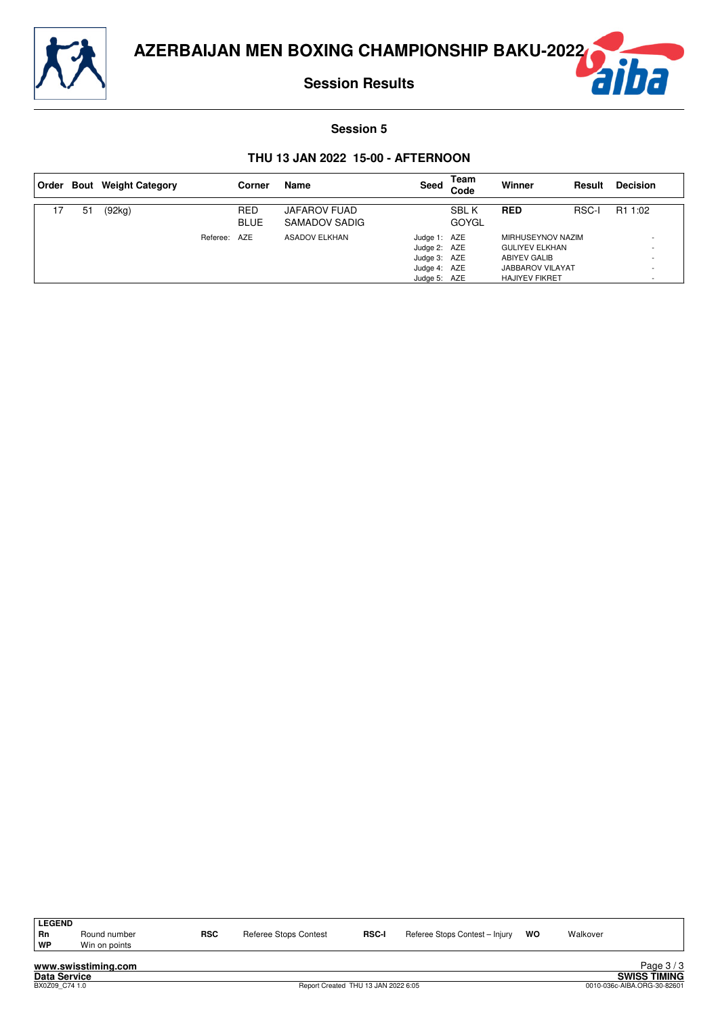



#### **Session 5**

#### **THU 13 JAN 2022 15-00 - AFTERNOON**

|    |    | <b>Order Bout Weight Category</b> |              | Corner                    | Name                                 | Seed                                                                         | Team<br>Code                 | Winner                                                                                                         | Result       | <b>Decision</b>     |
|----|----|-----------------------------------|--------------|---------------------------|--------------------------------------|------------------------------------------------------------------------------|------------------------------|----------------------------------------------------------------------------------------------------------------|--------------|---------------------|
| 17 | 51 | (92kg)                            |              | <b>RED</b><br><b>BLUE</b> | <b>JAFAROV FUAD</b><br>SAMADOV SADIG |                                                                              | <b>SBL K</b><br><b>GOYGL</b> | <b>RED</b>                                                                                                     | <b>RSC-I</b> | R <sub>1</sub> 1:02 |
|    |    |                                   | Referee: AZE |                           | <b>ASADOV ELKHAN</b>                 | Judge 1: AZE<br>Judge 2: AZE<br>Judge 3: AZE<br>Judge 4: AZE<br>Judge 5: AZE |                              | MIRHUSEYNOV NAZIM<br><b>GULIYEV ELKHAN</b><br>ABIYEV GALIB<br><b>JABBAROV VILAYAT</b><br><b>HAJIYEV FIKRET</b> |              |                     |

| LEGEND |         |  |
|--------|---------|--|
| Rn     | Round r |  |
|        |         |  |

**LEGEND**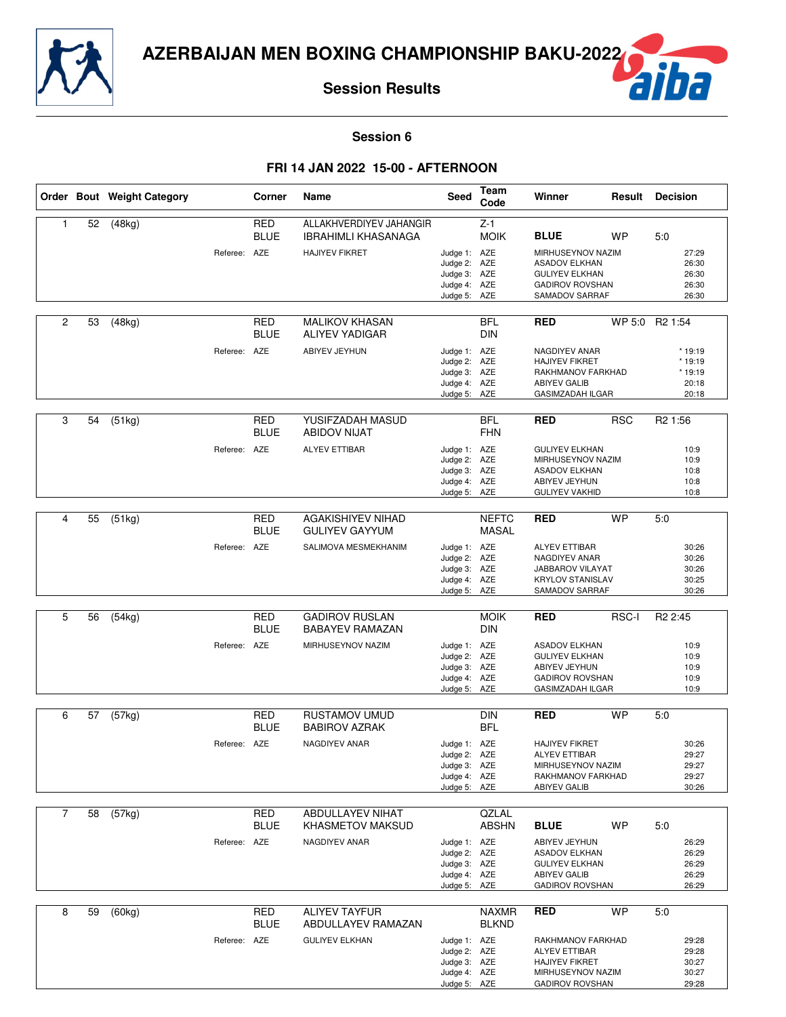

# ba

#### **Session 6**

#### **FRI 14 JAN 2022 15-00 - AFTERNOON**

|                |    | Order Bout Weight Category |              | Corner                    | Name                                                                           | Seed                                                                         | Team<br>Code              | Winner                                                                                                                            |            | <b>Result Decision</b>                                              |
|----------------|----|----------------------------|--------------|---------------------------|--------------------------------------------------------------------------------|------------------------------------------------------------------------------|---------------------------|-----------------------------------------------------------------------------------------------------------------------------------|------------|---------------------------------------------------------------------|
| $\mathbf{1}$   | 52 | (48kg)                     | Referee: AZE | <b>RED</b><br><b>BLUE</b> | ALLAKHVERDIYEV JAHANGIR<br><b>IBRAHIMLI KHASANAGA</b><br><b>HAJIYEV FIKRET</b> | Judge 1: AZE<br>Judge 2: AZE<br>Judge 3: AZE<br>Judge 4: AZE<br>Judge 5: AZE | $Z-1$<br><b>MOIK</b>      | <b>BLUE</b><br>MIRHUSEYNOV NAZIM<br><b>ASADOV ELKHAN</b><br><b>GULIYEV ELKHAN</b><br><b>GADIROV ROVSHAN</b><br>SAMADOV SARRAF     | <b>WP</b>  | 5:0<br>27:29<br>26:30<br>26:30<br>26:30<br>26:30                    |
| 2              | 53 | (48kg)                     | Referee: AZE | RED<br><b>BLUE</b>        | <b>MALIKOV KHASAN</b><br><b>ALIYEV YADIGAR</b><br>ABIYEV JEYHUN                | Judge 1: AZE<br>Judge 2: AZE<br>Judge 3: AZE<br>Judge 4: AZE<br>Judge 5: AZE | BFL<br><b>DIN</b>         | <b>RED</b><br>NAGDIYEV ANAR<br><b>HAJIYEV FIKRET</b><br>RAKHMANOV FARKHAD<br><b>ABIYEV GALIB</b><br><b>GASIMZADAH ILGAR</b>       |            | WP 5:0 R2 1:54<br>$*19:19$<br>* 19:19<br>$*19:19$<br>20:18<br>20:18 |
| 3              | 54 | (51kg)                     | Referee: AZE | RED<br><b>BLUE</b>        | YUSIFZADAH MASUD<br><b>ABIDOV NIJAT</b><br><b>ALYEV ETTIBAR</b>                | Judge 1: AZE<br>Judge 2: AZE<br>Judge 3: AZE<br>Judge 4: AZE<br>Judge 5: AZE | <b>BFL</b><br><b>FHN</b>  | <b>RED</b><br><b>GULIYEV ELKHAN</b><br>MIRHUSEYNOV NAZIM<br><b>ASADOV ELKHAN</b><br>ABIYEV JEYHUN<br><b>GULIYEV VAKHID</b>        | <b>RSC</b> | R <sub>2</sub> 1:56<br>10:9<br>10:9<br>10:8<br>10:8<br>10:8         |
| 4              | 55 | (51kg)                     | Referee: AZE | <b>RED</b><br><b>BLUE</b> | <b>AGAKISHIYEV NIHAD</b><br><b>GULIYEV GAYYUM</b><br>SALIMOVA MESMEKHANIM      | Judge 1: AZE<br>Judge 2: AZE<br>Judge 3: AZE<br>Judge 4: AZE<br>Judge 5: AZE | <b>NEFTC</b><br>MASAL     | <b>RED</b><br><b>ALYEV ETTIBAR</b><br>NAGDIYEV ANAR<br>JABBAROV VILAYAT<br><b>KRYLOV STANISLAV</b><br>SAMADOV SARRAF              | <b>WP</b>  | 5:0<br>30:26<br>30:26<br>30:26<br>30:25<br>30:26                    |
| 5              | 56 | (54kg)                     | Referee: AZE | <b>RED</b><br><b>BLUE</b> | <b>GADIROV RUSLAN</b><br><b>BABAYEV RAMAZAN</b><br>MIRHUSEYNOV NAZIM           | Judge 1: AZE<br>Judge 2: AZE<br>Judge 3: AZE<br>Judge 4: AZE<br>Judge 5: AZE | <b>MOIK</b><br><b>DIN</b> | <b>RED</b><br><b>ASADOV ELKHAN</b><br><b>GULIYEV ELKHAN</b><br>ABIYEV JEYHUN<br><b>GADIROV ROVSHAN</b><br><b>GASIMZADAH ILGAR</b> | RSC-I      | R <sub>2</sub> 2:45<br>10:9<br>10:9<br>10:9<br>10:9<br>10:9         |
| 6              | 57 | (57kg)                     | Referee: AZE | RED<br><b>BLUE</b>        | RUSTAMOV UMUD<br><b>BABIROV AZRAK</b><br>NAGDIYEV ANAR                         | Judge 1: AZE<br>Judge 2: AZE<br>Judge 3: AZE<br>Judge 4: AZE<br>Judge 5: AZE | DIN<br><b>BFL</b>         | <b>RED</b><br><b>HAJIYEV FIKRET</b><br><b>ALYEV ETTIBAR</b><br>MIRHUSEYNOV NAZIM<br>RAKHMANOV FARKHAD<br><b>ABIYEV GALIB</b>      | <b>WP</b>  | 5:0<br>30:26<br>29:27<br>29:27<br>29:27<br>30:26                    |
| $\overline{7}$ | 58 | (57kg)                     | Referee: AZE | RED<br><b>BLUE</b>        | ABDULLAYEV NIHAT<br><b>KHASMETOV MAKSUD</b><br>NAGDIYEV ANAR                   | Judge 1: AZE<br>Judge 2: AZE<br>Judge 3: AZE<br>Judge 4: AZE<br>Judge 5: AZE | QZLAL<br><b>ABSHN</b>     | <b>BLUE</b><br>ABIYEV JEYHUN<br><b>ASADOV ELKHAN</b><br><b>GULIYEV ELKHAN</b><br>ABIYEV GALIB<br><b>GADIROV ROVSHAN</b>           | <b>WP</b>  | 5:0<br>26:29<br>26:29<br>26:29<br>26:29<br>26:29                    |
| 8              | 59 | (60kg)                     | Referee: AZE | <b>RED</b><br>BLUE        | <b>ALIYEV TAYFUR</b><br>ABDULLAYEV RAMAZAN<br><b>GULIYEV ELKHAN</b>            | Judge 1: AZE<br>Judge 2: AZE<br>Judge 3: AZE<br>Judge 4: AZE<br>Judge 5: AZE | NAXMR<br><b>BLKND</b>     | <b>RED</b><br>RAKHMANOV FARKHAD<br><b>ALYEV ETTIBAR</b><br><b>HAJIYEV FIKRET</b><br>MIRHUSEYNOV NAZIM<br><b>GADIROV ROVSHAN</b>   | <b>WP</b>  | 5:0<br>29:28<br>29:28<br>30:27<br>30:27<br>29:28                    |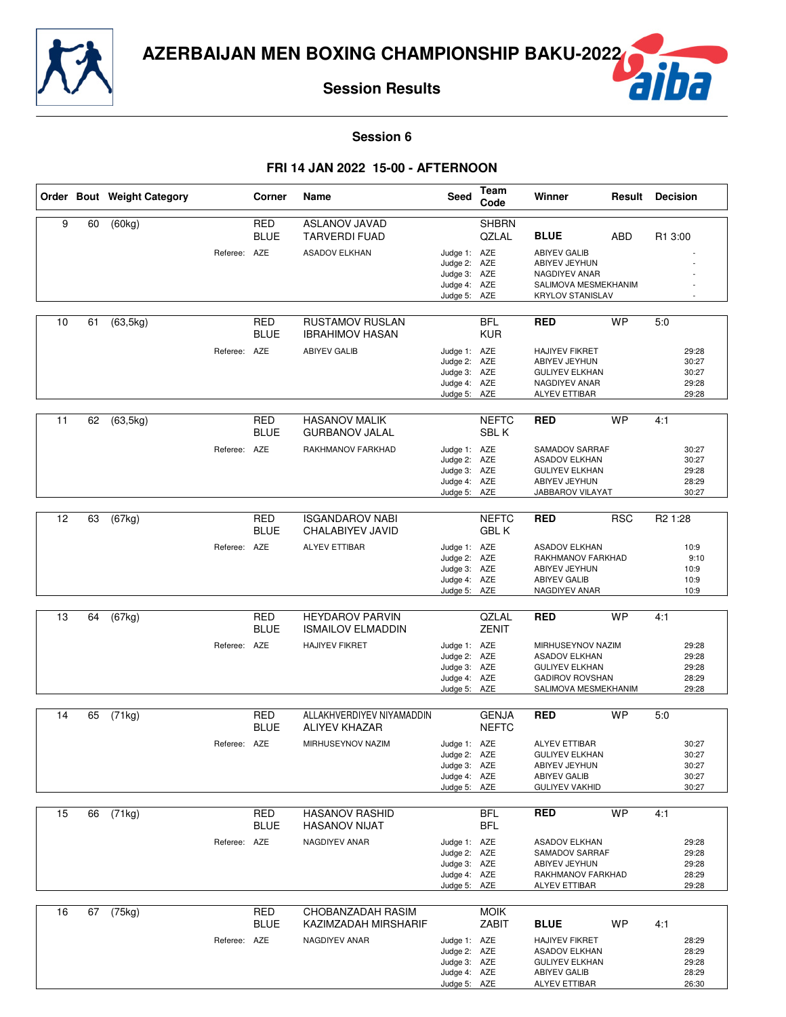

## ba

#### **Session 6**

#### **FRI 14 JAN 2022 15-00 - AFTERNOON**

|    |    | Order Bout Weight Category |              | Corner                    | Name                                                                        | Seed                                                                         | Team<br>Code                 | Winner                                                                                                                             | Result     | <b>Decision</b>                                             |
|----|----|----------------------------|--------------|---------------------------|-----------------------------------------------------------------------------|------------------------------------------------------------------------------|------------------------------|------------------------------------------------------------------------------------------------------------------------------------|------------|-------------------------------------------------------------|
| 9  | 60 | (60kg)                     | Referee: AZE | <b>RED</b><br><b>BLUE</b> | <b>ASLANOV JAVAD</b><br><b>TARVERDI FUAD</b><br><b>ASADOV ELKHAN</b>        | Judge 1: AZE<br>Judge 2: AZE<br>Judge 3: AZE<br>Judge 4: AZE<br>Judge 5: AZE | <b>SHBRN</b><br>QZLAL        | <b>BLUE</b><br><b>ABIYEV GALIB</b><br>ABIYEV JEYHUN<br>NAGDIYEV ANAR<br>SALIMOVA MESMEKHANIM<br><b>KRYLOV STANISLAV</b>            | ABD        | R1 3:00                                                     |
| 10 | 61 | (63, 5kg)                  | Referee: AZE | RED<br><b>BLUE</b>        | <b>RUSTAMOV RUSLAN</b><br><b>IBRAHIMOV HASAN</b><br><b>ABIYEV GALIB</b>     | Judge 1: AZE<br>Judge 2: AZE<br>Judge 3: AZE<br>Judge 4: AZE<br>Judge 5: AZE | BFL<br><b>KUR</b>            | <b>RED</b><br><b>HAJIYEV FIKRET</b><br>ABIYEV JEYHUN<br><b>GULIYEV ELKHAN</b><br>NAGDIYEV ANAR<br><b>ALYEV ETTIBAR</b>             | <b>WP</b>  | 5:0<br>29:28<br>30:27<br>30:27<br>29:28<br>29:28            |
| 11 | 62 | (63, 5kg)                  | Referee: AZE | RED<br><b>BLUE</b>        | <b>HASANOV MALIK</b><br><b>GURBANOV JALAL</b><br>RAKHMANOV FARKHAD          | Judge 1: AZE<br>Judge 2: AZE<br>Judge 3: AZE<br>Judge 4: AZE<br>Judge 5: AZE | <b>NEFTC</b><br>SBL K        | <b>RED</b><br>SAMADOV SARRAF<br><b>ASADOV ELKHAN</b><br><b>GULIYEV ELKHAN</b><br>ABIYEV JEYHUN<br>JABBAROV VILAYAT                 | <b>WP</b>  | 4:1<br>30:27<br>30:27<br>29:28<br>28:29<br>30:27            |
| 12 | 63 | (67kg)                     | Referee: AZE | <b>RED</b><br><b>BLUE</b> | <b>ISGANDAROV NABI</b><br>CHALABIYEV JAVID<br><b>ALYEV ETTIBAR</b>          | Judge 1: AZE<br>Judge 2: AZE<br>Judge 3: AZE<br>Judge 4: AZE<br>Judge 5: AZE | <b>NEFTC</b><br><b>GBLK</b>  | <b>RED</b><br><b>ASADOV ELKHAN</b><br>RAKHMANOV FARKHAD<br>ABIYEV JEYHUN<br><b>ABIYEV GALIB</b><br>NAGDIYEV ANAR                   | <b>RSC</b> | R <sub>2</sub> 1:28<br>10:9<br>9:10<br>10:9<br>10:9<br>10:9 |
| 13 | 64 | (67kg)                     | Referee: AZE | <b>RED</b><br><b>BLUE</b> | <b>HEYDAROV PARVIN</b><br><b>ISMAILOV ELMADDIN</b><br><b>HAJIYEV FIKRET</b> | Judge 1: AZE<br>Judge 2: AZE<br>Judge 3: AZE<br>Judge 4: AZE<br>Judge 5: AZE | QZLAL<br><b>ZENIT</b>        | <b>RED</b><br>MIRHUSEYNOV NAZIM<br><b>ASADOV ELKHAN</b><br><b>GULIYEV ELKHAN</b><br><b>GADIROV ROVSHAN</b><br>SALIMOVA MESMEKHANIM | <b>WP</b>  | 4:1<br>29:28<br>29:28<br>29:28<br>28:29<br>29:28            |
| 14 | 65 | (71kg)                     | Referee: AZE | <b>RED</b><br><b>BLUE</b> | ALLAKHVERDIYEV NIYAMADDIN<br><b>ALIYEV KHAZAR</b><br>MIRHUSEYNOV NAZIM      | Judge 1: AZE<br>Judge 2: AZE<br>Judge 3: AZE<br>Judge 4: AZE<br>Judge 5: AZE | <b>GENJA</b><br><b>NEFTC</b> | <b>RED</b><br><b>ALYEV ETTIBAR</b><br><b>GULIYEV ELKHAN</b><br>ABIYEV JEYHUN<br><b>ABIYEV GALIB</b><br><b>GULIYEV VAKHID</b>       | <b>WP</b>  | 5:0<br>30:27<br>30:27<br>30:27<br>30:27<br>30:27            |
| 15 | 66 | (71kg)                     | Referee: AZE | <b>RED</b><br>BLUE        | <b>HASANOV RASHID</b><br>HASANOV NIJAT<br>NAGDIYEV ANAR                     | Judge 1: AZE<br>Judge 2: AZE<br>Judge 3: AZE<br>Judge 4: AZE<br>Judge 5: AZE | <b>BFL</b><br><b>BFL</b>     | <b>RED</b><br><b>ASADOV ELKHAN</b><br>SAMADOV SARRAF<br>ABIYEV JEYHUN<br>RAKHMANOV FARKHAD<br><b>ALYEV ETTIBAR</b>                 | <b>WP</b>  | 4:1<br>29:28<br>29:28<br>29:28<br>28:29<br>29:28            |
| 16 | 67 | (75kg)                     | Referee: AZE | <b>RED</b><br><b>BLUE</b> | CHOBANZADAH RASIM<br>KAZIMZADAH MIRSHARIF<br>NAGDIYEV ANAR                  | Judge 1: AZE<br>Judge 2: AZE<br>Judge 3: AZE<br>Judge 4: AZE<br>Judge 5: AZE | <b>MOIK</b><br>ZABIT         | <b>BLUE</b><br>HAJIYEV FIKRET<br><b>ASADOV ELKHAN</b><br><b>GULIYEV ELKHAN</b><br><b>ABIYEV GALIB</b><br><b>ALYEV ETTIBAR</b>      | <b>WP</b>  | 4:1<br>28:29<br>28:29<br>29:28<br>28:29<br>26:30            |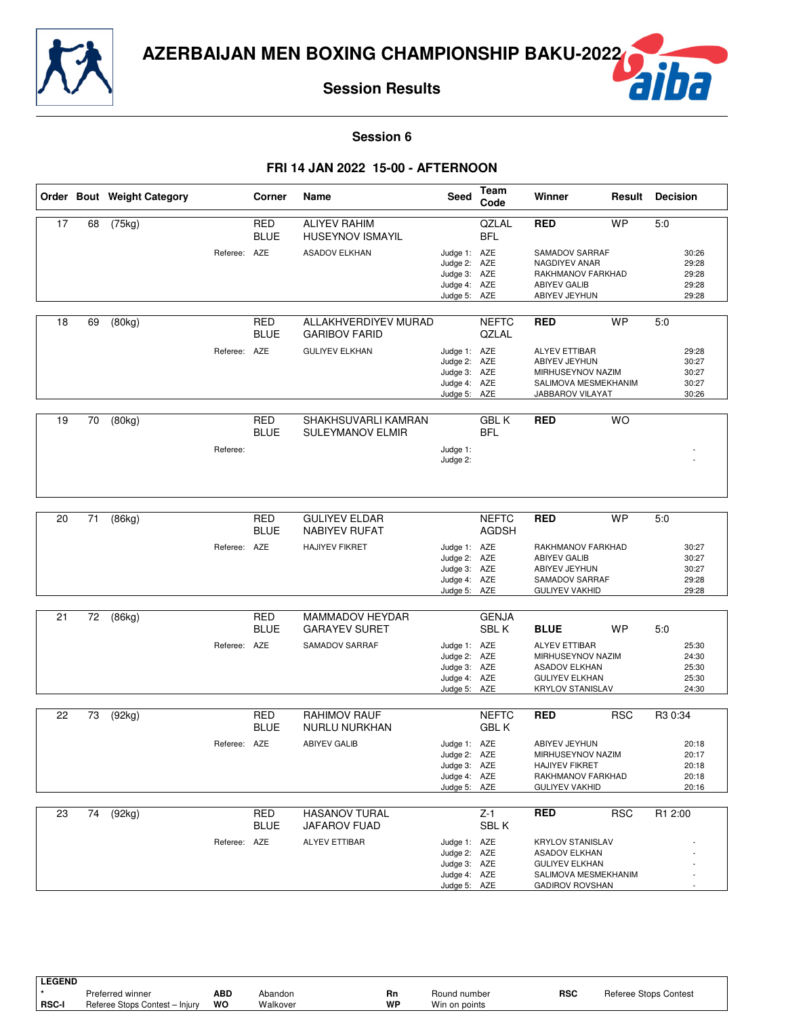

# iba

#### **Session 6**

#### **FRI 14 JAN 2022 15-00 - AFTERNOON**

|    |    | Order Bout Weight Category |              | Corner                    | Name                                           | <b>Seed</b>                                                                  | Team<br>Code          | Winner                                                                                                                     | Result     | <b>Decision</b>                           |
|----|----|----------------------------|--------------|---------------------------|------------------------------------------------|------------------------------------------------------------------------------|-----------------------|----------------------------------------------------------------------------------------------------------------------------|------------|-------------------------------------------|
| 17 | 68 | (75kg)                     |              | <b>RED</b><br><b>BLUE</b> | <b>ALIYEV RAHIM</b><br><b>HUSEYNOV ISMAYIL</b> |                                                                              | QZLAL<br><b>BFL</b>   | <b>RED</b>                                                                                                                 | <b>WP</b>  | 5:0                                       |
|    |    |                            | Referee: AZE |                           | <b>ASADOV ELKHAN</b>                           | Judge 1: AZE<br>Judge 2: AZE<br>Judge 3: AZE<br>Judge 4: AZE<br>Judge 5: AZE |                       | SAMADOV SARRAF<br>NAGDIYEV ANAR<br>RAKHMANOV FARKHAD<br><b>ABIYEV GALIB</b><br>ABIYEV JEYHUN                               |            | 30:26<br>29:28<br>29:28<br>29:28<br>29:28 |
| 18 | 69 | (80kg)                     |              | <b>RED</b><br><b>BLUE</b> | ALLAKHVERDIYEV MURAD<br><b>GARIBOV FARID</b>   |                                                                              | <b>NEFTC</b><br>QZLAL | <b>RED</b>                                                                                                                 | <b>WP</b>  | 5:0                                       |
|    |    |                            | Referee: AZE |                           | <b>GULIYEV ELKHAN</b>                          | Judge 1: AZE<br>Judge 2: AZE<br>Judge 3: AZE<br>Judge 4: AZE<br>Judge 5: AZE |                       | <b>ALYEV ETTIBAR</b><br>ABIYEV JEYHUN<br>MIRHUSEYNOV NAZIM<br>SALIMOVA MESMEKHANIM<br>JABBAROV VILAYAT                     |            | 29:28<br>30:27<br>30:27<br>30:27<br>30:26 |
| 19 | 70 | (80kg)                     |              | <b>RED</b>                | SHAKHSUVARLI KAMRAN                            |                                                                              | <b>GBLK</b>           | <b>RED</b>                                                                                                                 | <b>WO</b>  |                                           |
|    |    |                            | Referee:     | <b>BLUE</b>               | SULEYMANOV ELMIR                               | Judge 1:<br>Judge 2:                                                         | <b>BFL</b>            |                                                                                                                            |            |                                           |
| 20 | 71 | (86kg)                     |              | <b>RED</b>                | <b>GULIYEV ELDAR</b>                           |                                                                              | <b>NEFTC</b>          | <b>RED</b>                                                                                                                 | <b>WP</b>  | 5:0                                       |
|    |    |                            |              | <b>BLUE</b>               | <b>NABIYEV RUFAT</b>                           |                                                                              | <b>AGDSH</b>          |                                                                                                                            |            |                                           |
|    |    |                            | Referee: AZE |                           | <b>HAJIYEV FIKRET</b>                          | Judge 1: AZE<br>Judge 2: AZE<br>Judge 3: AZE<br>Judge 4: AZE<br>Judge 5: AZE |                       | RAKHMANOV FARKHAD<br><b>ABIYEV GALIB</b><br>ABIYEV JEYHUN<br>SAMADOV SARRAF<br><b>GULIYEV VAKHID</b>                       |            | 30:27<br>30:27<br>30:27<br>29:28<br>29:28 |
| 21 | 72 | (86kg)                     |              | RED<br><b>BLUE</b>        | MAMMADOV HEYDAR<br><b>GARAYEV SURET</b>        |                                                                              | <b>GENJA</b><br>SBL K | <b>BLUE</b>                                                                                                                | <b>WP</b>  | 5:0                                       |
|    |    |                            | Referee: AZE |                           | SAMADOV SARRAF                                 | Judge 1: AZE<br>Judge 2: AZE<br>Judge 3: AZE<br>Judge 4: AZE<br>Judge 5: AZE |                       | <b>ALYEV ETTIBAR</b><br>MIRHUSEYNOV NAZIM<br><b>ASADOV ELKHAN</b><br><b>GULIYEV ELKHAN</b><br><b>KRYLOV STANISLAV</b>      |            | 25:30<br>24:30<br>25:30<br>25:30<br>24:30 |
| 22 | 73 | (92kg)                     |              | <b>RED</b>                | <b>RAHIMOV RAUF</b>                            |                                                                              | <b>NEFTC</b>          | <b>RED</b>                                                                                                                 | <b>RSC</b> | R3 0:34                                   |
|    |    |                            | Referee: AZE | <b>BLUE</b>               | NURLU NURKHAN<br><b>ABIYEV GALIB</b>           | Judge 1: AZE<br>Judge 2: AZE<br>Judge 3: AZE<br>Judge 4: AZE<br>Judge 5: AZE | <b>GBLK</b>           | ABIYEV JEYHUN<br>MIRHUSEYNOV NAZIM<br><b>HAJIYEV FIKRET</b><br>RAKHMANOV FARKHAD<br><b>GULIYEV VAKHID</b>                  |            | 20:18<br>20:17<br>20:18<br>20:18<br>20:16 |
|    |    |                            |              |                           |                                                |                                                                              |                       |                                                                                                                            |            |                                           |
| 23 | 74 | (92kg)                     |              | <b>RED</b><br><b>BLUE</b> | <b>HASANOV TURAL</b><br>JAFAROV FUAD           |                                                                              | $Z-1$<br>SBL K        | <b>RED</b>                                                                                                                 | <b>RSC</b> | R1 2:00                                   |
|    |    |                            | Referee: AZE |                           | <b>ALYEV ETTIBAR</b>                           | Judge 1: AZE<br>Judge 2: AZE<br>Judge 3: AZE<br>Judge 4: AZE<br>Judge 5: AZE |                       | <b>KRYLOV STANISLAV</b><br><b>ASADOV ELKHAN</b><br><b>GULIYEV ELKHAN</b><br>SALIMOVA MESMEKHANIM<br><b>GADIROV ROVSHAN</b> |            |                                           |

| <b>LEGEND</b> |                                |     |          |           |               |            |                       |
|---------------|--------------------------------|-----|----------|-----------|---------------|------------|-----------------------|
|               | Preferred winner               | ABD | Abandon  | Rn        | Round number  | <b>RSC</b> | Referee Stops Contest |
| <b>RSC-I</b>  | Referee Stops Contest - Injury | wo  | Walkover | <b>WP</b> | Win on points |            |                       |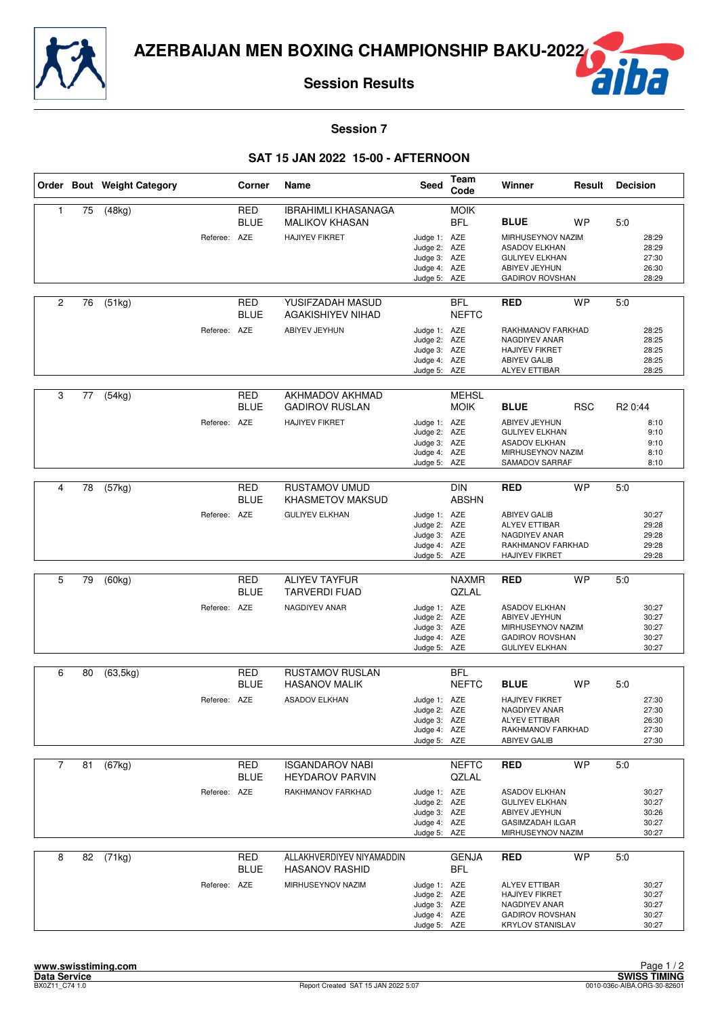



**Session 7**

#### **SAT 15 JAN 2022 15-00 - AFTERNOON**

|                |    | Order Bout Weight Category |              | Corner                    | Name                                                | Seed                                                                         | <b>Team</b><br>Code         | Winner                                                                                                              | Result     | <b>Decision</b>                           |
|----------------|----|----------------------------|--------------|---------------------------|-----------------------------------------------------|------------------------------------------------------------------------------|-----------------------------|---------------------------------------------------------------------------------------------------------------------|------------|-------------------------------------------|
| 1              | 75 | (48kg)                     |              | <b>RED</b><br><b>BLUE</b> | <b>IBRAHIMLI KHASANAGA</b><br><b>MALIKOV KHASAN</b> |                                                                              | <b>MOIK</b><br><b>BFL</b>   | <b>BLUE</b>                                                                                                         | <b>WP</b>  | 5:0                                       |
|                |    |                            | Referee: AZE |                           | <b>HAJIYEV FIKRET</b>                               | Judge 1: AZE<br>Judge 2: AZE<br>Judge 3: AZE<br>Judge 4: AZE<br>Judge 5: AZE |                             | MIRHUSEYNOV NAZIM<br><b>ASADOV ELKHAN</b><br><b>GULIYEV ELKHAN</b><br>ABIYEV JEYHUN<br><b>GADIROV ROVSHAN</b>       |            | 28:29<br>28:29<br>27:30<br>26:30<br>28:29 |
| $\overline{c}$ | 76 | (51kg)                     |              | RED<br><b>BLUE</b>        | YUSIFZADAH MASUD<br><b>AGAKISHIYEV NIHAD</b>        |                                                                              | <b>BFL</b><br><b>NEFTC</b>  | <b>RED</b>                                                                                                          | <b>WP</b>  | 5:0                                       |
|                |    |                            | Referee: AZE |                           | ABIYEV JEYHUN                                       | Judge 1: AZE<br>Judge 2: AZE<br>Judge 3: AZE<br>Judge 4: AZE<br>Judge 5: AZE |                             | RAKHMANOV FARKHAD<br>NAGDIYEV ANAR<br><b>HAJIYEV FIKRET</b><br><b>ABIYEV GALIB</b><br><b>ALYEV ETTIBAR</b>          |            | 28:25<br>28:25<br>28:25<br>28:25<br>28:25 |
| 3              | 77 | (54kg)                     |              | RED<br><b>BLUE</b>        | <b>AKHMADOV AKHMAD</b><br><b>GADIROV RUSLAN</b>     |                                                                              | <b>MEHSL</b><br><b>MOIK</b> | <b>BLUE</b>                                                                                                         | <b>RSC</b> | R <sub>2</sub> 0:44                       |
|                |    |                            | Referee: AZE |                           | <b>HAJIYEV FIKRET</b>                               | Judge 1: AZE<br>Judge 2: AZE<br>Judge 3: AZE<br>Judge 4: AZE<br>Judge 5: AZE |                             | ABIYEV JEYHUN<br><b>GULIYEV ELKHAN</b><br><b>ASADOV ELKHAN</b><br>MIRHUSEYNOV NAZIM<br>SAMADOV SARRAF               |            | 8:10<br>9:10<br>9:10<br>8:10<br>8:10      |
|                |    |                            |              |                           |                                                     |                                                                              |                             |                                                                                                                     |            |                                           |
| 4              | 78 | (57kg)                     |              | <b>RED</b><br><b>BLUE</b> | <b>RUSTAMOV UMUD</b><br><b>KHASMETOV MAKSUD</b>     |                                                                              | <b>DIN</b><br><b>ABSHN</b>  | <b>RED</b>                                                                                                          | <b>WP</b>  | 5:0                                       |
|                |    |                            | Referee: AZE |                           | <b>GULIYEV ELKHAN</b>                               | Judge 1: AZE<br>Judge 2: AZE<br>Judge 3: AZE<br>Judge 4: AZE<br>Judge 5: AZE |                             | <b>ABIYEV GALIB</b><br><b>ALYEV ETTIBAR</b><br>NAGDIYEV ANAR<br>RAKHMANOV FARKHAD<br><b>HAJIYEV FIKRET</b>          |            | 30:27<br>29:28<br>29:28<br>29:28<br>29:28 |
|                |    |                            |              |                           |                                                     |                                                                              |                             |                                                                                                                     |            |                                           |
| 5              | 79 | (60kg)                     |              | <b>RED</b><br><b>BLUE</b> | <b>ALIYEV TAYFUR</b><br><b>TARVERDI FUAD</b>        |                                                                              | <b>NAXMR</b><br>QZLAL       | RED                                                                                                                 | <b>WP</b>  | 5:0                                       |
|                |    |                            | Referee: AZE |                           | NAGDIYEV ANAR                                       | Judge 1: AZE<br>Judge 2: AZE<br>Judge 3: AZE<br>Judge 4: AZE<br>Judge 5: AZE |                             | <b>ASADOV ELKHAN</b><br>ABIYEV JEYHUN<br>MIRHUSEYNOV NAZIM<br><b>GADIROV ROVSHAN</b><br><b>GULIYEV ELKHAN</b>       |            | 30:27<br>30:27<br>30:27<br>30:27<br>30:27 |
|                |    |                            |              | <b>RED</b>                | <b>RUSTAMOV RUSLAN</b>                              |                                                                              | <b>BFL</b>                  |                                                                                                                     |            |                                           |
| 6              | 80 | (63, 5kg)                  |              | <b>BLUE</b>               | <b>HASANOV MALIK</b>                                |                                                                              | <b>NEFTC</b>                | <b>BLUE</b>                                                                                                         | <b>WP</b>  | 5:0                                       |
|                |    |                            | Referee: AZE |                           | <b>ASADOV ELKHAN</b>                                | Judge 1: AZE<br>Judge 2: AZE<br>Judge 3: AZE<br>Judge 4: AZE<br>Judge 5: AZE |                             | <b>HAJIYEV FIKRET</b><br>NAGDIYEV ANAR<br>ALYEV ETTIBAR<br>RAKHMANOV FARKHAD<br><b>ABIYEV GALIB</b>                 |            | 27:30<br>27:30<br>26:30<br>27:30<br>27:30 |
| $\overline{7}$ | 81 | (67kg)                     |              | RED                       | <b>ISGANDAROV NABI</b>                              |                                                                              | <b>NEFTC</b>                | <b>RED</b>                                                                                                          | <b>WP</b>  | 5:0                                       |
|                |    |                            |              | <b>BLUE</b>               | <b>HEYDAROV PARVIN</b>                              |                                                                              | QZLAL                       |                                                                                                                     |            |                                           |
|                |    |                            | Referee: AZE |                           | RAKHMANOV FARKHAD                                   | Judge 1: AZE<br>Judge 2: AZE<br>Judge 3: AZE<br>Judge 4: AZE<br>Judge 5: AZE |                             | <b>ASADOV ELKHAN</b><br><b>GULIYEV ELKHAN</b><br>ABIYEV JEYHUN<br><b>GASIMZADAH ILGAR</b><br>MIRHUSEYNOV NAZIM      |            | 30:27<br>30:27<br>30:26<br>30:27<br>30:27 |
| 8              | 82 | (71kg)                     |              | <b>RED</b><br><b>BLUE</b> | ALLAKHVERDIYEV NIYAMADDIN<br><b>HASANOV RASHID</b>  |                                                                              | <b>GENJA</b><br><b>BFL</b>  | <b>RED</b>                                                                                                          | <b>WP</b>  | 5:0                                       |
|                |    |                            | Referee: AZE |                           | MIRHUSEYNOV NAZIM                                   | Judge 1: AZE<br>Judge 2: AZE<br>Judge 3: AZE<br>Judge 4: AZE<br>Judge 5: AZE |                             | <b>ALYEV ETTIBAR</b><br><b>HAJIYEV FIKRET</b><br>NAGDIYEV ANAR<br><b>GADIROV ROVSHAN</b><br><b>KRYLOV STANISLAV</b> |            | 30:27<br>30:27<br>30:27<br>30:27<br>30:27 |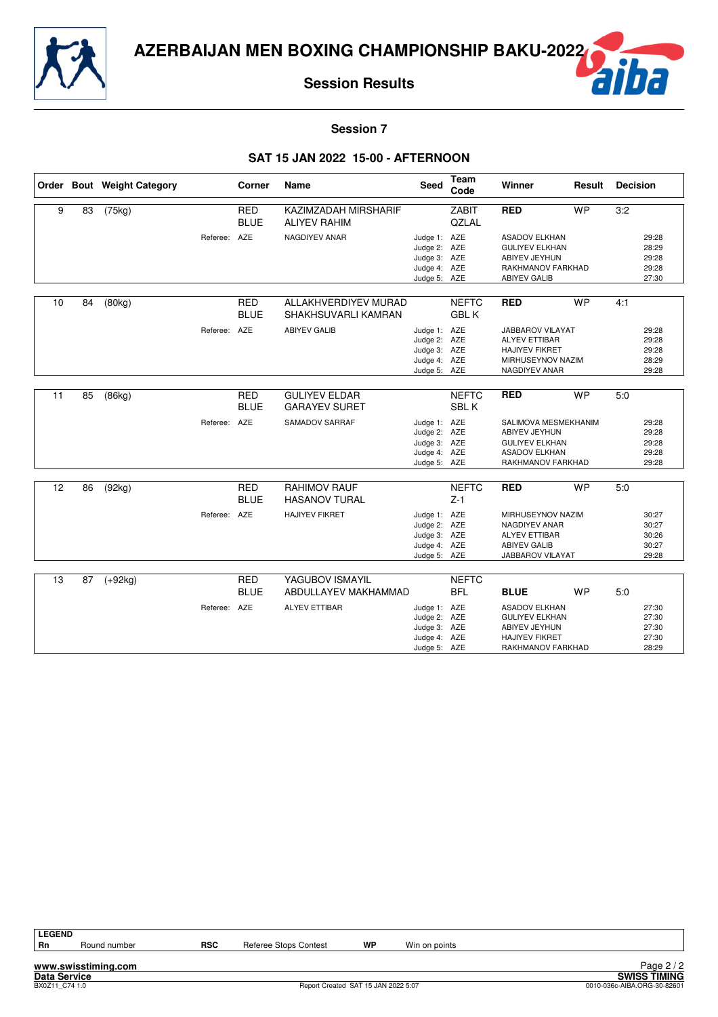

ŕ

#### **Session 7**

#### **SAT 15 JAN 2022 15-00 - AFTERNOON**

|    |    | Order Bout Weight Category |              | Corner                    | Name                                         | Seed                                                                         | Team<br>Code                 | Winner                                                                                                       | Result    | <b>Decision</b> |                                           |
|----|----|----------------------------|--------------|---------------------------|----------------------------------------------|------------------------------------------------------------------------------|------------------------------|--------------------------------------------------------------------------------------------------------------|-----------|-----------------|-------------------------------------------|
| 9  | 83 | (75kg)                     |              | <b>RED</b><br><b>BLUE</b> | KAZIMZADAH MIRSHARIF<br><b>ALIYEV RAHIM</b>  |                                                                              | <b>ZABIT</b><br><b>QZLAL</b> | <b>RED</b>                                                                                                   | <b>WP</b> | 3:2             |                                           |
|    |    |                            | Referee: AZE |                           | NAGDIYEV ANAR                                | Judge 1: AZE<br>Judge 2: AZE<br>Judge 3: AZE<br>Judge 4: AZE<br>Judge 5: AZE |                              | <b>ASADOV ELKHAN</b><br><b>GULIYEV ELKHAN</b><br>ABIYEV JEYHUN<br>RAKHMANOV FARKHAD<br><b>ABIYEV GALIB</b>   |           |                 | 29:28<br>28:29<br>29:28<br>29:28<br>27:30 |
| 10 | 84 | (80kg)                     |              | <b>RED</b><br><b>BLUE</b> | ALLAKHVERDIYEV MURAD<br>SHAKHSUVARLI KAMRAN  |                                                                              | <b>NEFTC</b><br><b>GBL K</b> | <b>RED</b>                                                                                                   | <b>WP</b> | 4:1             |                                           |
|    |    |                            | Referee: AZE |                           | <b>ABIYEV GALIB</b>                          | Judge 1: AZE<br>Judge 2: AZE<br>Judge 3: AZE<br>Judge 4: AZE<br>Judge 5: AZE |                              | JABBAROV VILAYAT<br><b>ALYEV ETTIBAR</b><br><b>HAJIYEV FIKRET</b><br>MIRHUSEYNOV NAZIM<br>NAGDIYEV ANAR      |           |                 | 29:28<br>29:28<br>29:28<br>28:29<br>29:28 |
| 11 | 85 | (86kg)                     |              | <b>RED</b><br><b>BLUE</b> | <b>GULIYEV ELDAR</b><br><b>GARAYEV SURET</b> |                                                                              | <b>NEFTC</b><br>SBL K        | <b>RED</b>                                                                                                   | <b>WP</b> | 5:0             |                                           |
|    |    |                            | Referee: AZE |                           | SAMADOV SARRAF                               | Judge 1: AZE<br>Judge 2: AZE<br>Judge 3: AZE<br>Judge 4: AZE<br>Judge 5: AZE |                              | SALIMOVA MESMEKHANIM<br>ABIYEV JEYHUN<br><b>GULIYEV ELKHAN</b><br><b>ASADOV ELKHAN</b><br>RAKHMANOV FARKHAD  |           |                 | 29:28<br>29:28<br>29:28<br>29:28<br>29:28 |
| 12 | 86 | (92kg)                     |              | <b>RED</b><br><b>BLUE</b> | <b>RAHIMOV RAUF</b><br><b>HASANOV TURAL</b>  |                                                                              | <b>NEFTC</b><br>$Z-1$        | <b>RED</b>                                                                                                   | <b>WP</b> | 5:0             |                                           |
|    |    |                            | Referee: AZE |                           | <b>HAJIYEV FIKRET</b>                        | Judge 1: AZE<br>Judge 2: AZE<br>Judge 3: AZE<br>Judge 4: AZE<br>Judge 5: AZE |                              | MIRHUSEYNOV NAZIM<br>NAGDIYEV ANAR<br><b>ALYEV ETTIBAR</b><br><b>ABIYEV GALIB</b><br>JABBAROV VILAYAT        |           |                 | 30:27<br>30:27<br>30:26<br>30:27<br>29:28 |
| 13 | 87 | $(+92kg)$                  |              | <b>RED</b><br><b>BLUE</b> | YAGUBOV ISMAYIL<br>ABDULLAYEV MAKHAMMAD      |                                                                              | <b>NEFTC</b><br><b>BFL</b>   | <b>BLUE</b>                                                                                                  | <b>WP</b> | 5.0             |                                           |
|    |    |                            | Referee: AZE |                           | <b>ALYEV ETTIBAR</b>                         | Judge 1: AZE<br>Judge 2: AZE<br>Judge 3: AZE<br>Judge 4: AZE<br>Judge 5: AZE |                              | <b>ASADOV ELKHAN</b><br><b>GULIYEV ELKHAN</b><br>ABIYEV JEYHUN<br><b>HAJIYEV FIKRET</b><br>RAKHMANOV FARKHAD |           |                 | 27:30<br>27:30<br>27:30<br>27:30<br>28:29 |

**www.swisstiming.com**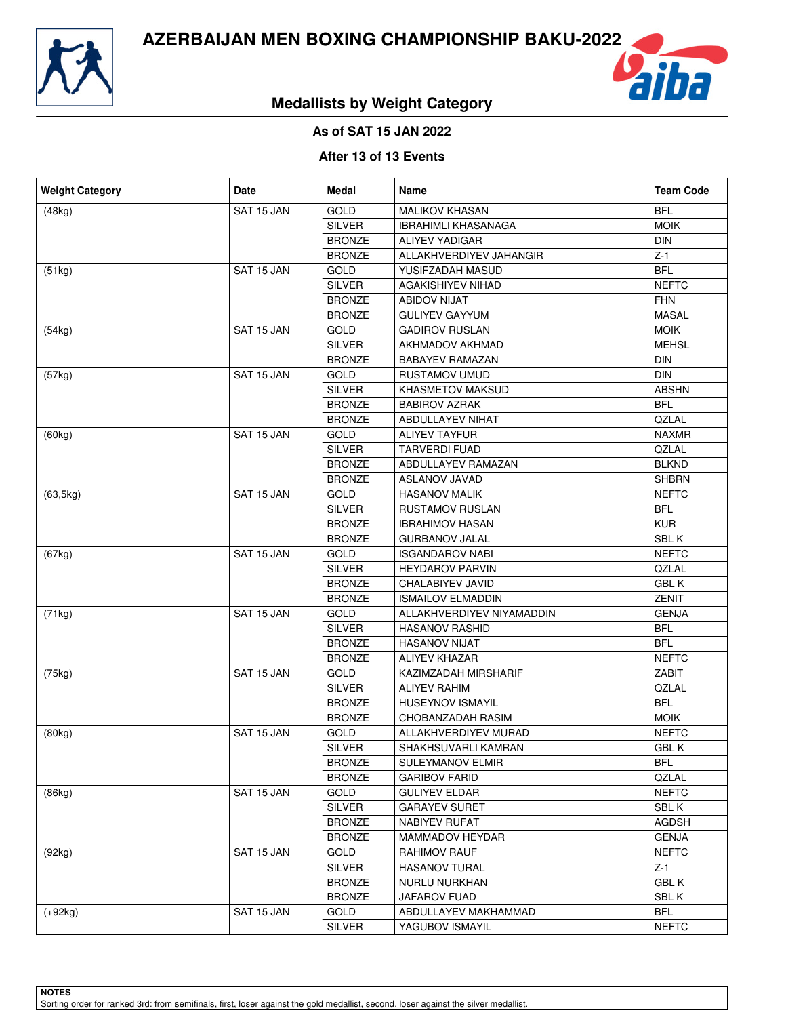



#### **Medallists by Weight Category**

#### **As of SAT 15 JAN 2022**

#### **After 13 of 13 Events**

| (48kg)<br>SAT 15 JAN<br><b>GOLD</b><br><b>MALIKOV KHASAN</b><br><b>BFL</b><br><b>SILVER</b><br><b>MOIK</b><br><b>IBRAHIMLI KHASANAGA</b><br><b>BRONZE</b><br><b>DIN</b><br><b>ALIYEV YADIGAR</b><br>$Z-1$<br><b>BRONZE</b><br>ALLAKHVERDIYEV JAHANGIR<br><b>BFL</b><br>SAT 15 JAN<br><b>GOLD</b><br>(51kg)<br>YUSIFZADAH MASUD<br><b>SILVER</b><br><b>NEFTC</b><br>AGAKISHIYEV NIHAD<br><b>BRONZE</b><br><b>ABIDOV NIJAT</b><br><b>FHN</b><br><b>MASAL</b><br><b>BRONZE</b><br><b>GULIYEV GAYYUM</b><br><b>MOIK</b><br>SAT 15 JAN<br>GOLD<br><b>GADIROV RUSLAN</b><br>(54kg)<br><b>SILVER</b><br><b>MEHSL</b><br>AKHMADOV AKHMAD<br><b>BRONZE</b><br><b>BABAYEV RAMAZAN</b><br><b>DIN</b><br><b>DIN</b><br>SAT 15 JAN<br>GOLD<br><b>RUSTAMOV UMUD</b><br>(57kg)<br><b>SILVER</b><br><b>ABSHN</b><br>KHASMETOV MAKSUD<br><b>BRONZE</b><br><b>BABIROV AZRAK</b><br><b>BFL</b><br>QZLAL<br><b>BRONZE</b><br>ABDULLAYEV NIHAT<br>SAT 15 JAN<br><b>NAXMR</b><br>GOLD<br><b>ALIYEV TAYFUR</b><br>(60kg)<br><b>SILVER</b><br><b>TARVERDI FUAD</b><br>QZLAL<br><b>BRONZE</b><br><b>BLKND</b><br>ABDULLAYEV RAMAZAN<br><b>BRONZE</b><br><b>SHBRN</b><br><b>ASLANOV JAVAD</b><br>SAT 15 JAN<br><b>GOLD</b><br><b>NEFTC</b><br>(63, 5kg)<br><b>HASANOV MALIK</b><br><b>SILVER</b><br><b>BFL</b><br>RUSTAMOV RUSLAN<br><b>BRONZE</b><br><b>IBRAHIMOV HASAN</b><br><b>KUR</b><br>SBL K<br><b>BRONZE</b><br><b>GURBANOV JALAL</b><br>SAT 15 JAN<br><b>GOLD</b><br><b>NEFTC</b><br>(67kg)<br><b>ISGANDAROV NABI</b><br>QZLAL<br><b>SILVER</b><br><b>HEYDAROV PARVIN</b><br><b>BRONZE</b><br>CHALABIYEV JAVID<br><b>GBLK</b><br>ZENIT<br><b>BRONZE</b><br><b>ISMAILOV ELMADDIN</b><br>GOLD<br><b>GENJA</b><br>SAT 15 JAN<br>ALLAKHVERDIYEV NIYAMADDIN<br>(71kg)<br><b>SILVER</b><br><b>HASANOV RASHID</b><br><b>BFL</b><br><b>BRONZE</b><br><b>HASANOV NIJAT</b><br><b>BFL</b><br><b>BRONZE</b><br><b>ALIYEV KHAZAR</b><br><b>NEFTC</b><br>SAT 15 JAN<br>GOLD<br>KAZIMZADAH MIRSHARIF<br>ZABIT<br>(75kg)<br><b>SILVER</b><br><b>ALIYEV RAHIM</b><br>QZLAL<br><b>BFL</b><br><b>BRONZE</b><br><b>HUSEYNOV ISMAYIL</b><br><b>BRONZE</b><br><b>MOIK</b><br>CHOBANZADAH RASIM<br>SAT 15 JAN<br><b>NEFTC</b><br>(80kg)<br>GOLD<br>ALLAKHVERDIYEV MURAD<br><b>SILVER</b><br><b>GBLK</b><br>SHAKHSUVARLI KAMRAN<br><b>BRONZE</b><br>BFL<br><b>SULEYMANOV ELMIR</b><br><b>BRONZE</b><br><b>QZLAL</b><br><b>GARIBOV FARID</b><br>SAT 15 JAN<br><b>GOLD</b><br><b>GULIYEV ELDAR</b><br><b>NEFTC</b><br>(86kg)<br><b>SILVER</b><br>SBL K<br><b>GARAYEV SURET</b><br><b>AGDSH</b><br><b>BRONZE</b><br><b>NABIYEV RUFAT</b><br><b>BRONZE</b><br><b>GENJA</b><br><b>MAMMADOV HEYDAR</b><br>SAT 15 JAN<br><b>GOLD</b><br><b>NEFTC</b><br><b>RAHIMOV RAUF</b><br>(92kg)<br><b>SILVER</b><br><b>HASANOV TURAL</b><br>$Z-1$<br><b>BRONZE</b><br>NURLU NURKHAN<br><b>GBL K</b><br><b>BRONZE</b><br><b>JAFAROV FUAD</b><br>SBL K | <b>Weight Category</b> | Date | Medal | Name | <b>Team Code</b> |
|---------------------------------------------------------------------------------------------------------------------------------------------------------------------------------------------------------------------------------------------------------------------------------------------------------------------------------------------------------------------------------------------------------------------------------------------------------------------------------------------------------------------------------------------------------------------------------------------------------------------------------------------------------------------------------------------------------------------------------------------------------------------------------------------------------------------------------------------------------------------------------------------------------------------------------------------------------------------------------------------------------------------------------------------------------------------------------------------------------------------------------------------------------------------------------------------------------------------------------------------------------------------------------------------------------------------------------------------------------------------------------------------------------------------------------------------------------------------------------------------------------------------------------------------------------------------------------------------------------------------------------------------------------------------------------------------------------------------------------------------------------------------------------------------------------------------------------------------------------------------------------------------------------------------------------------------------------------------------------------------------------------------------------------------------------------------------------------------------------------------------------------------------------------------------------------------------------------------------------------------------------------------------------------------------------------------------------------------------------------------------------------------------------------------------------------------------------------------------------------------------------------------------------------------------------------------------------------------------------------------------------------------------------------------------------------------------------------------------------------------------------------------------------------------------------------------------------------------------------------------------------------------|------------------------|------|-------|------|------------------|
|                                                                                                                                                                                                                                                                                                                                                                                                                                                                                                                                                                                                                                                                                                                                                                                                                                                                                                                                                                                                                                                                                                                                                                                                                                                                                                                                                                                                                                                                                                                                                                                                                                                                                                                                                                                                                                                                                                                                                                                                                                                                                                                                                                                                                                                                                                                                                                                                                                                                                                                                                                                                                                                                                                                                                                                                                                                                                             |                        |      |       |      |                  |
|                                                                                                                                                                                                                                                                                                                                                                                                                                                                                                                                                                                                                                                                                                                                                                                                                                                                                                                                                                                                                                                                                                                                                                                                                                                                                                                                                                                                                                                                                                                                                                                                                                                                                                                                                                                                                                                                                                                                                                                                                                                                                                                                                                                                                                                                                                                                                                                                                                                                                                                                                                                                                                                                                                                                                                                                                                                                                             |                        |      |       |      |                  |
|                                                                                                                                                                                                                                                                                                                                                                                                                                                                                                                                                                                                                                                                                                                                                                                                                                                                                                                                                                                                                                                                                                                                                                                                                                                                                                                                                                                                                                                                                                                                                                                                                                                                                                                                                                                                                                                                                                                                                                                                                                                                                                                                                                                                                                                                                                                                                                                                                                                                                                                                                                                                                                                                                                                                                                                                                                                                                             |                        |      |       |      |                  |
|                                                                                                                                                                                                                                                                                                                                                                                                                                                                                                                                                                                                                                                                                                                                                                                                                                                                                                                                                                                                                                                                                                                                                                                                                                                                                                                                                                                                                                                                                                                                                                                                                                                                                                                                                                                                                                                                                                                                                                                                                                                                                                                                                                                                                                                                                                                                                                                                                                                                                                                                                                                                                                                                                                                                                                                                                                                                                             |                        |      |       |      |                  |
|                                                                                                                                                                                                                                                                                                                                                                                                                                                                                                                                                                                                                                                                                                                                                                                                                                                                                                                                                                                                                                                                                                                                                                                                                                                                                                                                                                                                                                                                                                                                                                                                                                                                                                                                                                                                                                                                                                                                                                                                                                                                                                                                                                                                                                                                                                                                                                                                                                                                                                                                                                                                                                                                                                                                                                                                                                                                                             |                        |      |       |      |                  |
|                                                                                                                                                                                                                                                                                                                                                                                                                                                                                                                                                                                                                                                                                                                                                                                                                                                                                                                                                                                                                                                                                                                                                                                                                                                                                                                                                                                                                                                                                                                                                                                                                                                                                                                                                                                                                                                                                                                                                                                                                                                                                                                                                                                                                                                                                                                                                                                                                                                                                                                                                                                                                                                                                                                                                                                                                                                                                             |                        |      |       |      |                  |
|                                                                                                                                                                                                                                                                                                                                                                                                                                                                                                                                                                                                                                                                                                                                                                                                                                                                                                                                                                                                                                                                                                                                                                                                                                                                                                                                                                                                                                                                                                                                                                                                                                                                                                                                                                                                                                                                                                                                                                                                                                                                                                                                                                                                                                                                                                                                                                                                                                                                                                                                                                                                                                                                                                                                                                                                                                                                                             |                        |      |       |      |                  |
|                                                                                                                                                                                                                                                                                                                                                                                                                                                                                                                                                                                                                                                                                                                                                                                                                                                                                                                                                                                                                                                                                                                                                                                                                                                                                                                                                                                                                                                                                                                                                                                                                                                                                                                                                                                                                                                                                                                                                                                                                                                                                                                                                                                                                                                                                                                                                                                                                                                                                                                                                                                                                                                                                                                                                                                                                                                                                             |                        |      |       |      |                  |
|                                                                                                                                                                                                                                                                                                                                                                                                                                                                                                                                                                                                                                                                                                                                                                                                                                                                                                                                                                                                                                                                                                                                                                                                                                                                                                                                                                                                                                                                                                                                                                                                                                                                                                                                                                                                                                                                                                                                                                                                                                                                                                                                                                                                                                                                                                                                                                                                                                                                                                                                                                                                                                                                                                                                                                                                                                                                                             |                        |      |       |      |                  |
|                                                                                                                                                                                                                                                                                                                                                                                                                                                                                                                                                                                                                                                                                                                                                                                                                                                                                                                                                                                                                                                                                                                                                                                                                                                                                                                                                                                                                                                                                                                                                                                                                                                                                                                                                                                                                                                                                                                                                                                                                                                                                                                                                                                                                                                                                                                                                                                                                                                                                                                                                                                                                                                                                                                                                                                                                                                                                             |                        |      |       |      |                  |
|                                                                                                                                                                                                                                                                                                                                                                                                                                                                                                                                                                                                                                                                                                                                                                                                                                                                                                                                                                                                                                                                                                                                                                                                                                                                                                                                                                                                                                                                                                                                                                                                                                                                                                                                                                                                                                                                                                                                                                                                                                                                                                                                                                                                                                                                                                                                                                                                                                                                                                                                                                                                                                                                                                                                                                                                                                                                                             |                        |      |       |      |                  |
|                                                                                                                                                                                                                                                                                                                                                                                                                                                                                                                                                                                                                                                                                                                                                                                                                                                                                                                                                                                                                                                                                                                                                                                                                                                                                                                                                                                                                                                                                                                                                                                                                                                                                                                                                                                                                                                                                                                                                                                                                                                                                                                                                                                                                                                                                                                                                                                                                                                                                                                                                                                                                                                                                                                                                                                                                                                                                             |                        |      |       |      |                  |
|                                                                                                                                                                                                                                                                                                                                                                                                                                                                                                                                                                                                                                                                                                                                                                                                                                                                                                                                                                                                                                                                                                                                                                                                                                                                                                                                                                                                                                                                                                                                                                                                                                                                                                                                                                                                                                                                                                                                                                                                                                                                                                                                                                                                                                                                                                                                                                                                                                                                                                                                                                                                                                                                                                                                                                                                                                                                                             |                        |      |       |      |                  |
|                                                                                                                                                                                                                                                                                                                                                                                                                                                                                                                                                                                                                                                                                                                                                                                                                                                                                                                                                                                                                                                                                                                                                                                                                                                                                                                                                                                                                                                                                                                                                                                                                                                                                                                                                                                                                                                                                                                                                                                                                                                                                                                                                                                                                                                                                                                                                                                                                                                                                                                                                                                                                                                                                                                                                                                                                                                                                             |                        |      |       |      |                  |
|                                                                                                                                                                                                                                                                                                                                                                                                                                                                                                                                                                                                                                                                                                                                                                                                                                                                                                                                                                                                                                                                                                                                                                                                                                                                                                                                                                                                                                                                                                                                                                                                                                                                                                                                                                                                                                                                                                                                                                                                                                                                                                                                                                                                                                                                                                                                                                                                                                                                                                                                                                                                                                                                                                                                                                                                                                                                                             |                        |      |       |      |                  |
|                                                                                                                                                                                                                                                                                                                                                                                                                                                                                                                                                                                                                                                                                                                                                                                                                                                                                                                                                                                                                                                                                                                                                                                                                                                                                                                                                                                                                                                                                                                                                                                                                                                                                                                                                                                                                                                                                                                                                                                                                                                                                                                                                                                                                                                                                                                                                                                                                                                                                                                                                                                                                                                                                                                                                                                                                                                                                             |                        |      |       |      |                  |
|                                                                                                                                                                                                                                                                                                                                                                                                                                                                                                                                                                                                                                                                                                                                                                                                                                                                                                                                                                                                                                                                                                                                                                                                                                                                                                                                                                                                                                                                                                                                                                                                                                                                                                                                                                                                                                                                                                                                                                                                                                                                                                                                                                                                                                                                                                                                                                                                                                                                                                                                                                                                                                                                                                                                                                                                                                                                                             |                        |      |       |      |                  |
|                                                                                                                                                                                                                                                                                                                                                                                                                                                                                                                                                                                                                                                                                                                                                                                                                                                                                                                                                                                                                                                                                                                                                                                                                                                                                                                                                                                                                                                                                                                                                                                                                                                                                                                                                                                                                                                                                                                                                                                                                                                                                                                                                                                                                                                                                                                                                                                                                                                                                                                                                                                                                                                                                                                                                                                                                                                                                             |                        |      |       |      |                  |
|                                                                                                                                                                                                                                                                                                                                                                                                                                                                                                                                                                                                                                                                                                                                                                                                                                                                                                                                                                                                                                                                                                                                                                                                                                                                                                                                                                                                                                                                                                                                                                                                                                                                                                                                                                                                                                                                                                                                                                                                                                                                                                                                                                                                                                                                                                                                                                                                                                                                                                                                                                                                                                                                                                                                                                                                                                                                                             |                        |      |       |      |                  |
|                                                                                                                                                                                                                                                                                                                                                                                                                                                                                                                                                                                                                                                                                                                                                                                                                                                                                                                                                                                                                                                                                                                                                                                                                                                                                                                                                                                                                                                                                                                                                                                                                                                                                                                                                                                                                                                                                                                                                                                                                                                                                                                                                                                                                                                                                                                                                                                                                                                                                                                                                                                                                                                                                                                                                                                                                                                                                             |                        |      |       |      |                  |
|                                                                                                                                                                                                                                                                                                                                                                                                                                                                                                                                                                                                                                                                                                                                                                                                                                                                                                                                                                                                                                                                                                                                                                                                                                                                                                                                                                                                                                                                                                                                                                                                                                                                                                                                                                                                                                                                                                                                                                                                                                                                                                                                                                                                                                                                                                                                                                                                                                                                                                                                                                                                                                                                                                                                                                                                                                                                                             |                        |      |       |      |                  |
|                                                                                                                                                                                                                                                                                                                                                                                                                                                                                                                                                                                                                                                                                                                                                                                                                                                                                                                                                                                                                                                                                                                                                                                                                                                                                                                                                                                                                                                                                                                                                                                                                                                                                                                                                                                                                                                                                                                                                                                                                                                                                                                                                                                                                                                                                                                                                                                                                                                                                                                                                                                                                                                                                                                                                                                                                                                                                             |                        |      |       |      |                  |
|                                                                                                                                                                                                                                                                                                                                                                                                                                                                                                                                                                                                                                                                                                                                                                                                                                                                                                                                                                                                                                                                                                                                                                                                                                                                                                                                                                                                                                                                                                                                                                                                                                                                                                                                                                                                                                                                                                                                                                                                                                                                                                                                                                                                                                                                                                                                                                                                                                                                                                                                                                                                                                                                                                                                                                                                                                                                                             |                        |      |       |      |                  |
|                                                                                                                                                                                                                                                                                                                                                                                                                                                                                                                                                                                                                                                                                                                                                                                                                                                                                                                                                                                                                                                                                                                                                                                                                                                                                                                                                                                                                                                                                                                                                                                                                                                                                                                                                                                                                                                                                                                                                                                                                                                                                                                                                                                                                                                                                                                                                                                                                                                                                                                                                                                                                                                                                                                                                                                                                                                                                             |                        |      |       |      |                  |
|                                                                                                                                                                                                                                                                                                                                                                                                                                                                                                                                                                                                                                                                                                                                                                                                                                                                                                                                                                                                                                                                                                                                                                                                                                                                                                                                                                                                                                                                                                                                                                                                                                                                                                                                                                                                                                                                                                                                                                                                                                                                                                                                                                                                                                                                                                                                                                                                                                                                                                                                                                                                                                                                                                                                                                                                                                                                                             |                        |      |       |      |                  |
|                                                                                                                                                                                                                                                                                                                                                                                                                                                                                                                                                                                                                                                                                                                                                                                                                                                                                                                                                                                                                                                                                                                                                                                                                                                                                                                                                                                                                                                                                                                                                                                                                                                                                                                                                                                                                                                                                                                                                                                                                                                                                                                                                                                                                                                                                                                                                                                                                                                                                                                                                                                                                                                                                                                                                                                                                                                                                             |                        |      |       |      |                  |
|                                                                                                                                                                                                                                                                                                                                                                                                                                                                                                                                                                                                                                                                                                                                                                                                                                                                                                                                                                                                                                                                                                                                                                                                                                                                                                                                                                                                                                                                                                                                                                                                                                                                                                                                                                                                                                                                                                                                                                                                                                                                                                                                                                                                                                                                                                                                                                                                                                                                                                                                                                                                                                                                                                                                                                                                                                                                                             |                        |      |       |      |                  |
|                                                                                                                                                                                                                                                                                                                                                                                                                                                                                                                                                                                                                                                                                                                                                                                                                                                                                                                                                                                                                                                                                                                                                                                                                                                                                                                                                                                                                                                                                                                                                                                                                                                                                                                                                                                                                                                                                                                                                                                                                                                                                                                                                                                                                                                                                                                                                                                                                                                                                                                                                                                                                                                                                                                                                                                                                                                                                             |                        |      |       |      |                  |
|                                                                                                                                                                                                                                                                                                                                                                                                                                                                                                                                                                                                                                                                                                                                                                                                                                                                                                                                                                                                                                                                                                                                                                                                                                                                                                                                                                                                                                                                                                                                                                                                                                                                                                                                                                                                                                                                                                                                                                                                                                                                                                                                                                                                                                                                                                                                                                                                                                                                                                                                                                                                                                                                                                                                                                                                                                                                                             |                        |      |       |      |                  |
|                                                                                                                                                                                                                                                                                                                                                                                                                                                                                                                                                                                                                                                                                                                                                                                                                                                                                                                                                                                                                                                                                                                                                                                                                                                                                                                                                                                                                                                                                                                                                                                                                                                                                                                                                                                                                                                                                                                                                                                                                                                                                                                                                                                                                                                                                                                                                                                                                                                                                                                                                                                                                                                                                                                                                                                                                                                                                             |                        |      |       |      |                  |
|                                                                                                                                                                                                                                                                                                                                                                                                                                                                                                                                                                                                                                                                                                                                                                                                                                                                                                                                                                                                                                                                                                                                                                                                                                                                                                                                                                                                                                                                                                                                                                                                                                                                                                                                                                                                                                                                                                                                                                                                                                                                                                                                                                                                                                                                                                                                                                                                                                                                                                                                                                                                                                                                                                                                                                                                                                                                                             |                        |      |       |      |                  |
|                                                                                                                                                                                                                                                                                                                                                                                                                                                                                                                                                                                                                                                                                                                                                                                                                                                                                                                                                                                                                                                                                                                                                                                                                                                                                                                                                                                                                                                                                                                                                                                                                                                                                                                                                                                                                                                                                                                                                                                                                                                                                                                                                                                                                                                                                                                                                                                                                                                                                                                                                                                                                                                                                                                                                                                                                                                                                             |                        |      |       |      |                  |
|                                                                                                                                                                                                                                                                                                                                                                                                                                                                                                                                                                                                                                                                                                                                                                                                                                                                                                                                                                                                                                                                                                                                                                                                                                                                                                                                                                                                                                                                                                                                                                                                                                                                                                                                                                                                                                                                                                                                                                                                                                                                                                                                                                                                                                                                                                                                                                                                                                                                                                                                                                                                                                                                                                                                                                                                                                                                                             |                        |      |       |      |                  |
|                                                                                                                                                                                                                                                                                                                                                                                                                                                                                                                                                                                                                                                                                                                                                                                                                                                                                                                                                                                                                                                                                                                                                                                                                                                                                                                                                                                                                                                                                                                                                                                                                                                                                                                                                                                                                                                                                                                                                                                                                                                                                                                                                                                                                                                                                                                                                                                                                                                                                                                                                                                                                                                                                                                                                                                                                                                                                             |                        |      |       |      |                  |
|                                                                                                                                                                                                                                                                                                                                                                                                                                                                                                                                                                                                                                                                                                                                                                                                                                                                                                                                                                                                                                                                                                                                                                                                                                                                                                                                                                                                                                                                                                                                                                                                                                                                                                                                                                                                                                                                                                                                                                                                                                                                                                                                                                                                                                                                                                                                                                                                                                                                                                                                                                                                                                                                                                                                                                                                                                                                                             |                        |      |       |      |                  |
|                                                                                                                                                                                                                                                                                                                                                                                                                                                                                                                                                                                                                                                                                                                                                                                                                                                                                                                                                                                                                                                                                                                                                                                                                                                                                                                                                                                                                                                                                                                                                                                                                                                                                                                                                                                                                                                                                                                                                                                                                                                                                                                                                                                                                                                                                                                                                                                                                                                                                                                                                                                                                                                                                                                                                                                                                                                                                             |                        |      |       |      |                  |
|                                                                                                                                                                                                                                                                                                                                                                                                                                                                                                                                                                                                                                                                                                                                                                                                                                                                                                                                                                                                                                                                                                                                                                                                                                                                                                                                                                                                                                                                                                                                                                                                                                                                                                                                                                                                                                                                                                                                                                                                                                                                                                                                                                                                                                                                                                                                                                                                                                                                                                                                                                                                                                                                                                                                                                                                                                                                                             |                        |      |       |      |                  |
|                                                                                                                                                                                                                                                                                                                                                                                                                                                                                                                                                                                                                                                                                                                                                                                                                                                                                                                                                                                                                                                                                                                                                                                                                                                                                                                                                                                                                                                                                                                                                                                                                                                                                                                                                                                                                                                                                                                                                                                                                                                                                                                                                                                                                                                                                                                                                                                                                                                                                                                                                                                                                                                                                                                                                                                                                                                                                             |                        |      |       |      |                  |
|                                                                                                                                                                                                                                                                                                                                                                                                                                                                                                                                                                                                                                                                                                                                                                                                                                                                                                                                                                                                                                                                                                                                                                                                                                                                                                                                                                                                                                                                                                                                                                                                                                                                                                                                                                                                                                                                                                                                                                                                                                                                                                                                                                                                                                                                                                                                                                                                                                                                                                                                                                                                                                                                                                                                                                                                                                                                                             |                        |      |       |      |                  |
|                                                                                                                                                                                                                                                                                                                                                                                                                                                                                                                                                                                                                                                                                                                                                                                                                                                                                                                                                                                                                                                                                                                                                                                                                                                                                                                                                                                                                                                                                                                                                                                                                                                                                                                                                                                                                                                                                                                                                                                                                                                                                                                                                                                                                                                                                                                                                                                                                                                                                                                                                                                                                                                                                                                                                                                                                                                                                             |                        |      |       |      |                  |
|                                                                                                                                                                                                                                                                                                                                                                                                                                                                                                                                                                                                                                                                                                                                                                                                                                                                                                                                                                                                                                                                                                                                                                                                                                                                                                                                                                                                                                                                                                                                                                                                                                                                                                                                                                                                                                                                                                                                                                                                                                                                                                                                                                                                                                                                                                                                                                                                                                                                                                                                                                                                                                                                                                                                                                                                                                                                                             |                        |      |       |      |                  |
|                                                                                                                                                                                                                                                                                                                                                                                                                                                                                                                                                                                                                                                                                                                                                                                                                                                                                                                                                                                                                                                                                                                                                                                                                                                                                                                                                                                                                                                                                                                                                                                                                                                                                                                                                                                                                                                                                                                                                                                                                                                                                                                                                                                                                                                                                                                                                                                                                                                                                                                                                                                                                                                                                                                                                                                                                                                                                             |                        |      |       |      |                  |
|                                                                                                                                                                                                                                                                                                                                                                                                                                                                                                                                                                                                                                                                                                                                                                                                                                                                                                                                                                                                                                                                                                                                                                                                                                                                                                                                                                                                                                                                                                                                                                                                                                                                                                                                                                                                                                                                                                                                                                                                                                                                                                                                                                                                                                                                                                                                                                                                                                                                                                                                                                                                                                                                                                                                                                                                                                                                                             |                        |      |       |      |                  |
|                                                                                                                                                                                                                                                                                                                                                                                                                                                                                                                                                                                                                                                                                                                                                                                                                                                                                                                                                                                                                                                                                                                                                                                                                                                                                                                                                                                                                                                                                                                                                                                                                                                                                                                                                                                                                                                                                                                                                                                                                                                                                                                                                                                                                                                                                                                                                                                                                                                                                                                                                                                                                                                                                                                                                                                                                                                                                             |                        |      |       |      |                  |
|                                                                                                                                                                                                                                                                                                                                                                                                                                                                                                                                                                                                                                                                                                                                                                                                                                                                                                                                                                                                                                                                                                                                                                                                                                                                                                                                                                                                                                                                                                                                                                                                                                                                                                                                                                                                                                                                                                                                                                                                                                                                                                                                                                                                                                                                                                                                                                                                                                                                                                                                                                                                                                                                                                                                                                                                                                                                                             |                        |      |       |      |                  |
|                                                                                                                                                                                                                                                                                                                                                                                                                                                                                                                                                                                                                                                                                                                                                                                                                                                                                                                                                                                                                                                                                                                                                                                                                                                                                                                                                                                                                                                                                                                                                                                                                                                                                                                                                                                                                                                                                                                                                                                                                                                                                                                                                                                                                                                                                                                                                                                                                                                                                                                                                                                                                                                                                                                                                                                                                                                                                             |                        |      |       |      |                  |
|                                                                                                                                                                                                                                                                                                                                                                                                                                                                                                                                                                                                                                                                                                                                                                                                                                                                                                                                                                                                                                                                                                                                                                                                                                                                                                                                                                                                                                                                                                                                                                                                                                                                                                                                                                                                                                                                                                                                                                                                                                                                                                                                                                                                                                                                                                                                                                                                                                                                                                                                                                                                                                                                                                                                                                                                                                                                                             |                        |      |       |      |                  |
| SAT 15 JAN<br><b>GOLD</b><br>ABDULLAYEV MAKHAMMAD<br><b>BFL</b><br>$(+92kg)$                                                                                                                                                                                                                                                                                                                                                                                                                                                                                                                                                                                                                                                                                                                                                                                                                                                                                                                                                                                                                                                                                                                                                                                                                                                                                                                                                                                                                                                                                                                                                                                                                                                                                                                                                                                                                                                                                                                                                                                                                                                                                                                                                                                                                                                                                                                                                                                                                                                                                                                                                                                                                                                                                                                                                                                                                |                        |      |       |      |                  |
| <b>SILVER</b><br>YAGUBOV ISMAYIL<br><b>NEFTC</b>                                                                                                                                                                                                                                                                                                                                                                                                                                                                                                                                                                                                                                                                                                                                                                                                                                                                                                                                                                                                                                                                                                                                                                                                                                                                                                                                                                                                                                                                                                                                                                                                                                                                                                                                                                                                                                                                                                                                                                                                                                                                                                                                                                                                                                                                                                                                                                                                                                                                                                                                                                                                                                                                                                                                                                                                                                            |                        |      |       |      |                  |

**NOTES**

Sorting order for ranked 3rd: from semifinals, first, loser against the gold medallist, second, loser against the silver medallist.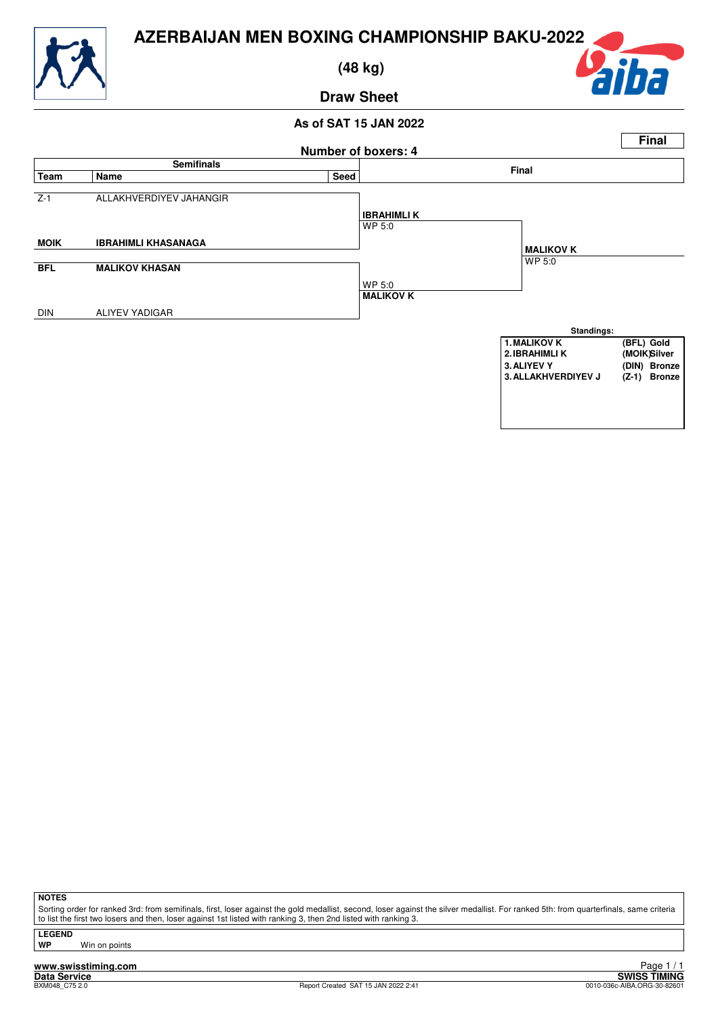

 **(48 kg)**

#### **Draw Sheet**



#### **As of SAT 15 JAN 2022**



**NOTES**

Sorting order for ranked 3rd: from semifinals, first, loser against the gold medallist, second, loser against the silver medallist. For ranked 5th: from quarterfinals, same criteria to list the first two losers and then, loser against 1st listed with ranking 3, then 2nd listed with ranking 3.

**LEGEND Win on points** 

**www.swisstiming.com**<br>Data Service<br>BXM048 C7520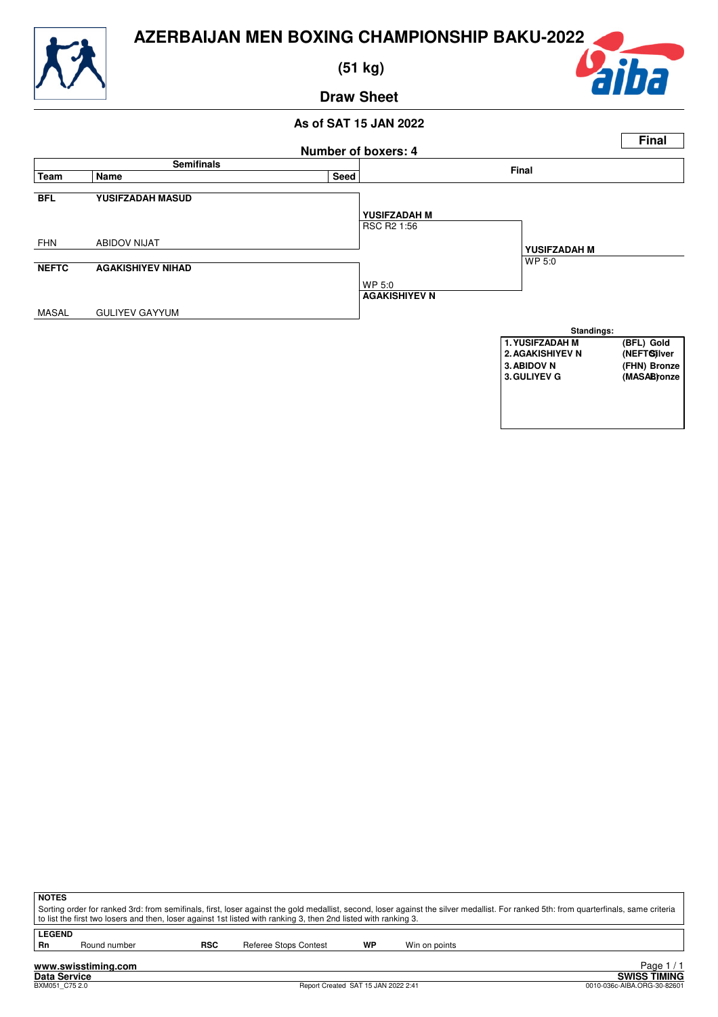

 **(51 kg)**

h.

**Draw Sheet**

#### **As of SAT 15 JAN 2022**



**NOTES** Sorting order for ranked 3rd: from semifinals, first, loser against the gold medallist, second, loser against the silver medallist. For ranked 5th: from quarterfinals, same criteria to list the first two losers and then, loser against 1st listed with ranking 3, then 2nd listed with ranking 3. **LEGEND**<br>Rn Round number **RSC** Referee Stops Contest **WP** Win on points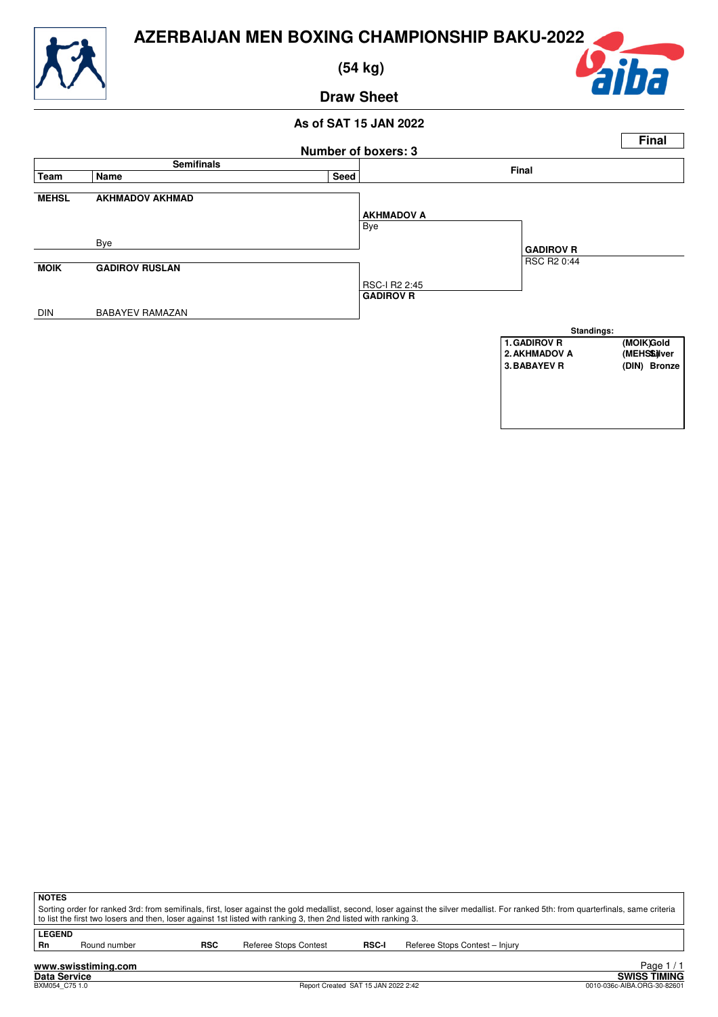

 **(54 kg)**



**Draw Sheet**



| <b>NOTES</b>  |              |            |                                                                                                                 |              |                                                                                                                                                                                       |  |
|---------------|--------------|------------|-----------------------------------------------------------------------------------------------------------------|--------------|---------------------------------------------------------------------------------------------------------------------------------------------------------------------------------------|--|
|               |              |            |                                                                                                                 |              | Sorting order for ranked 3rd: from semifinals, first, loser against the gold medallist, second, loser against the silver medallist. For ranked 5th: from quarterfinals, same criteria |  |
|               |              |            | to list the first two losers and then, loser against 1st listed with ranking 3, then 2nd listed with ranking 3. |              |                                                                                                                                                                                       |  |
|               |              |            |                                                                                                                 |              |                                                                                                                                                                                       |  |
| <b>LEGEND</b> |              |            |                                                                                                                 |              |                                                                                                                                                                                       |  |
| <b>Rn</b>     | Round number | <b>RSC</b> | Referee Stops Contest                                                                                           | <b>RSC-I</b> | Referee Stops Contest - Injury                                                                                                                                                        |  |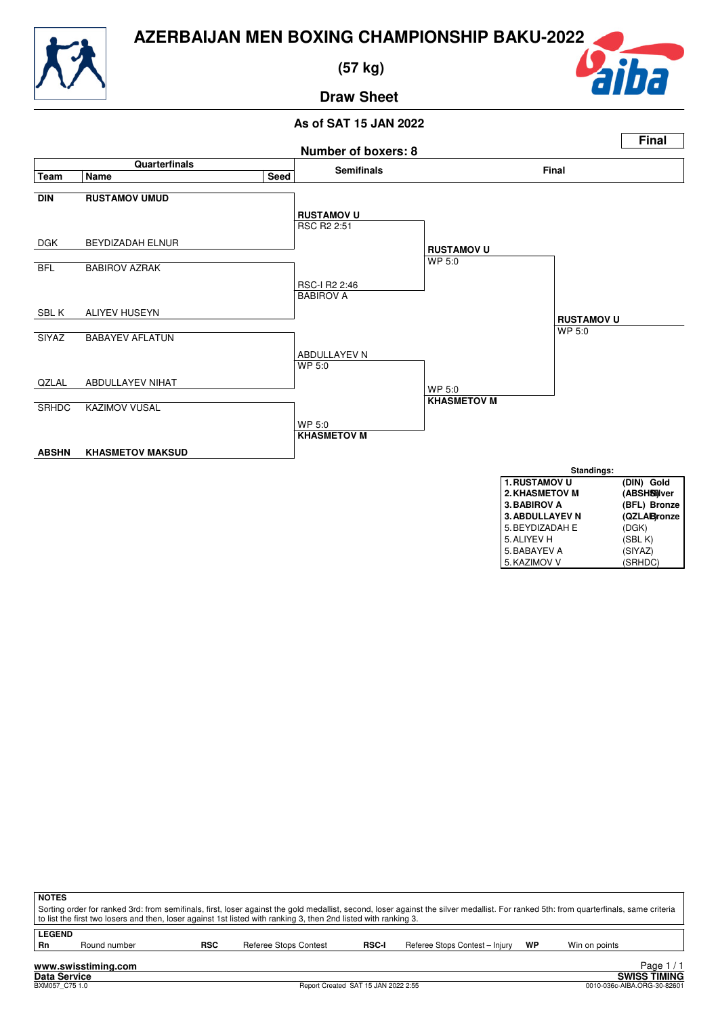

 **(57 kg)**



**Draw Sheet**



| <b>NOTES</b><br>Sorting order for ranked 3rd: from semifinals, first, loser against the gold medallist, second, loser against the silver medallist. For ranked 5th: from quarterfinals, same criteria<br>to list the first two losers and then, loser against 1st listed with ranking 3, then 2nd listed with ranking 3. |                                   |            |                       |              |                                |    |               |  |  |  |  |
|--------------------------------------------------------------------------------------------------------------------------------------------------------------------------------------------------------------------------------------------------------------------------------------------------------------------------|-----------------------------------|------------|-----------------------|--------------|--------------------------------|----|---------------|--|--|--|--|
| <b>LEGEND</b><br><b>Rn</b>                                                                                                                                                                                                                                                                                               | Round number                      | <b>RSC</b> | Referee Stops Contest | <b>RSC-I</b> | Referee Stops Contest - Injury | WP | Win on points |  |  |  |  |
|                                                                                                                                                                                                                                                                                                                          | Page $1/7$<br>www.swisstiming.com |            |                       |              |                                |    |               |  |  |  |  |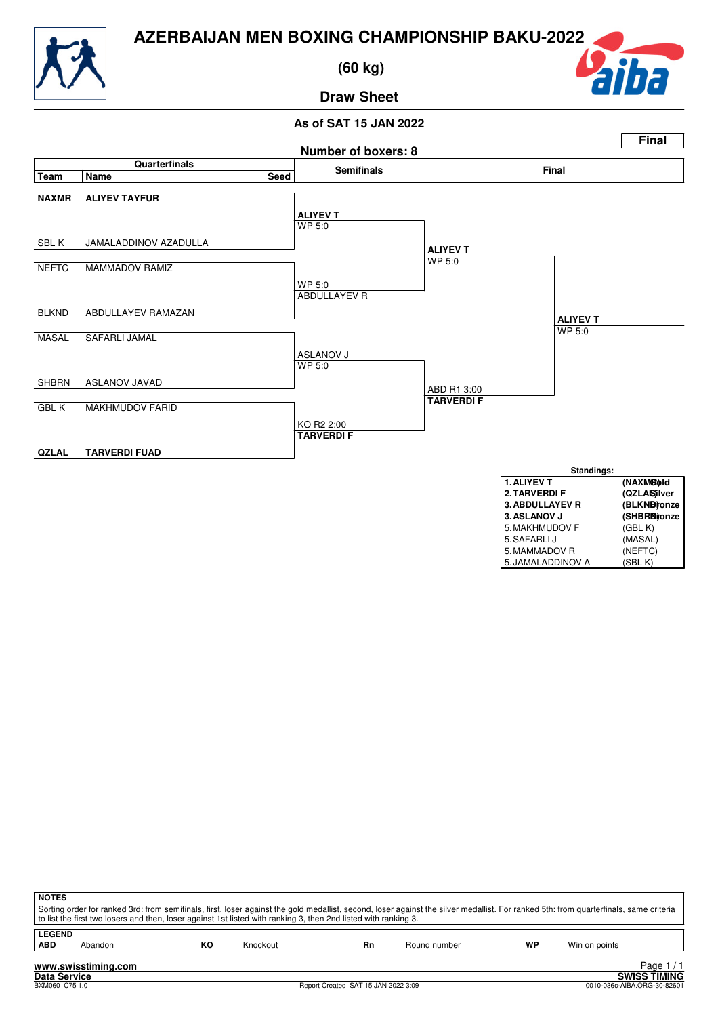

 **(60 kg)**



### **Draw Sheet**



| <b>NOTES</b>  |                                                                                                                                                                                                                                                                                                          |    |          |    |              |    |               |  |  |  |  |
|---------------|----------------------------------------------------------------------------------------------------------------------------------------------------------------------------------------------------------------------------------------------------------------------------------------------------------|----|----------|----|--------------|----|---------------|--|--|--|--|
|               | Sorting order for ranked 3rd: from semifinals, first, loser against the gold medallist, second, loser against the silver medallist. For ranked 5th: from quarterfinals, same criteria<br>to list the first two losers and then, loser against 1st listed with ranking 3, then 2nd listed with ranking 3. |    |          |    |              |    |               |  |  |  |  |
| <b>LEGEND</b> |                                                                                                                                                                                                                                                                                                          |    |          |    |              |    |               |  |  |  |  |
| <b>ABD</b>    | Abandon                                                                                                                                                                                                                                                                                                  | ĸо | Knockout | Rn | Round number | WP | Win on points |  |  |  |  |
|               | Page 1<br>www.swisstiming.com                                                                                                                                                                                                                                                                            |    |          |    |              |    |               |  |  |  |  |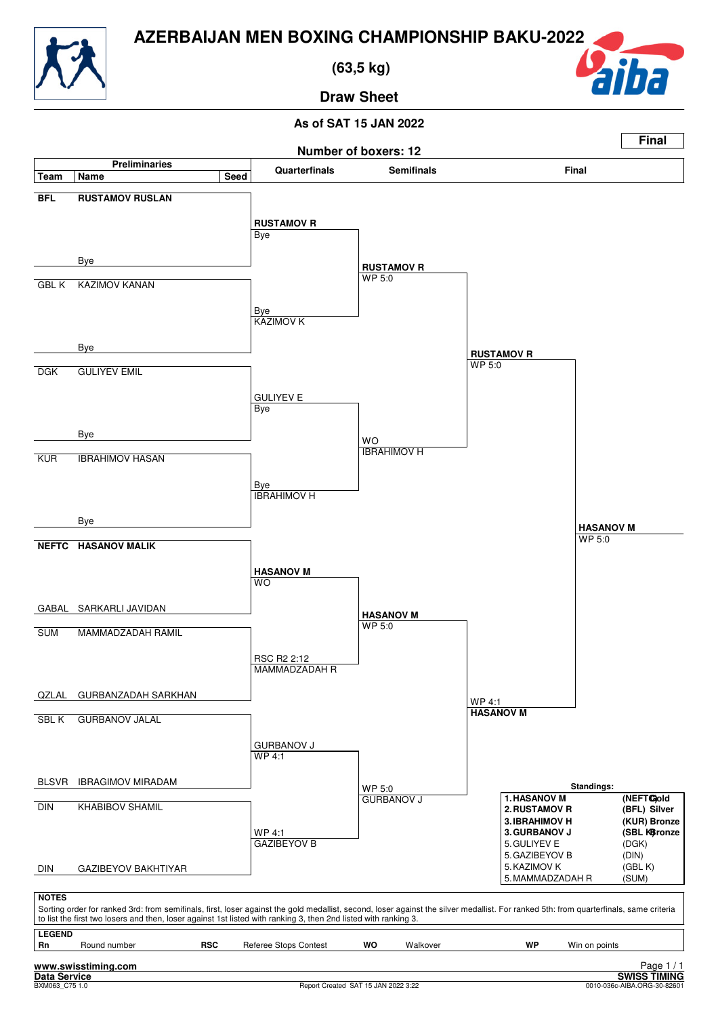

 **(63,5 kg)**



**Draw Sheet**

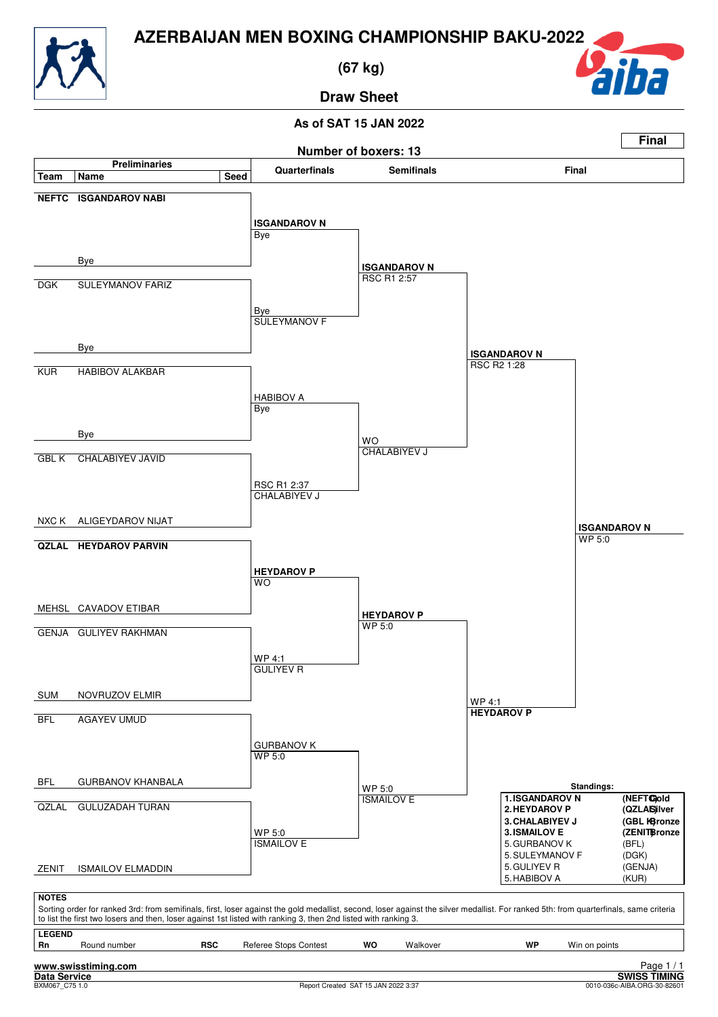

 **(67 kg)**



**Draw Sheet**

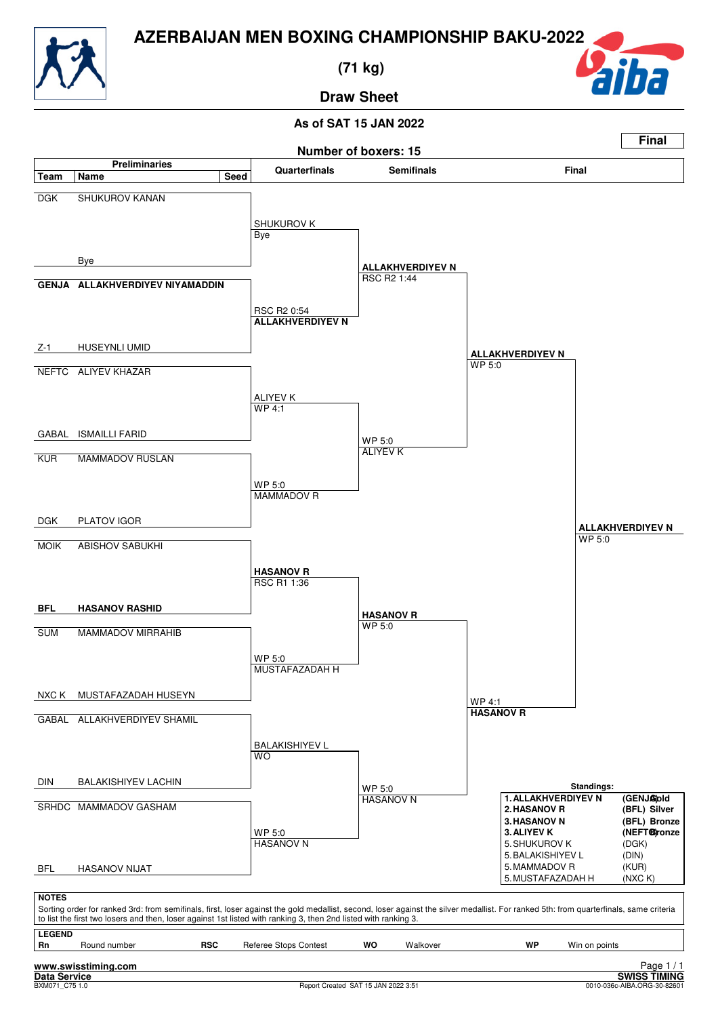

 **(71 kg)**



**Draw Sheet**

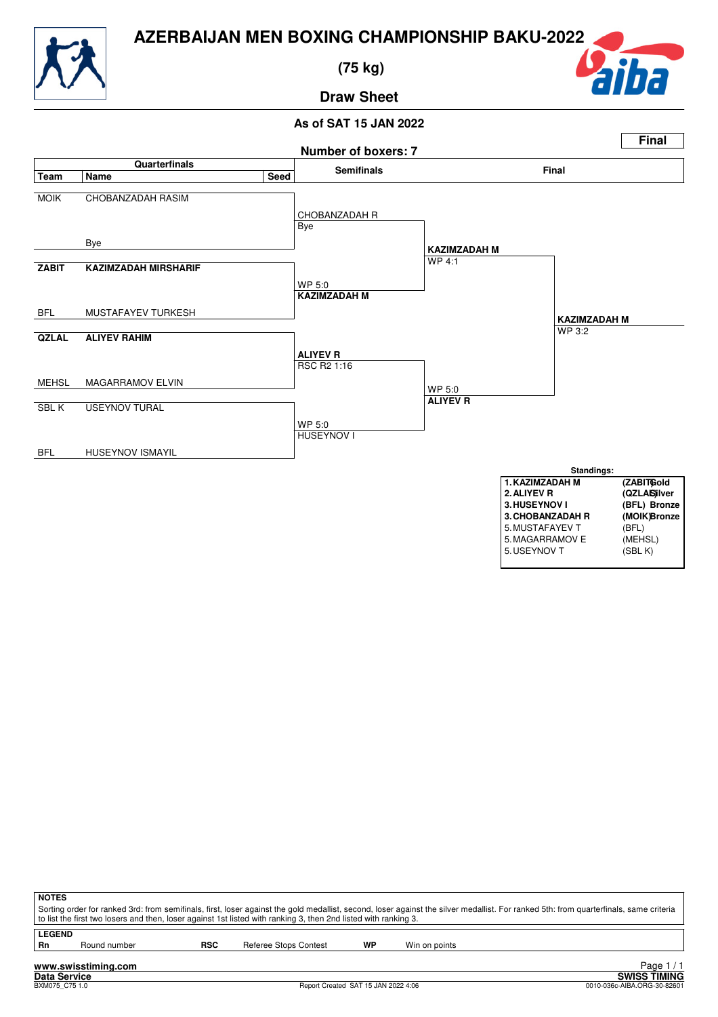

 **(75 kg)**



**Draw Sheet**



| <b>NOTES</b>                                                                                                                                                                                                                                                                                             |              |            |                       |    |               |  |  |  |  |  |
|----------------------------------------------------------------------------------------------------------------------------------------------------------------------------------------------------------------------------------------------------------------------------------------------------------|--------------|------------|-----------------------|----|---------------|--|--|--|--|--|
| Sorting order for ranked 3rd: from semifinals, first, loser against the gold medallist, second, loser against the silver medallist. For ranked 5th: from quarterfinals, same criteria<br>to list the first two losers and then, loser against 1st listed with ranking 3, then 2nd listed with ranking 3. |              |            |                       |    |               |  |  |  |  |  |
| <b>LEGEND</b>                                                                                                                                                                                                                                                                                            |              |            |                       |    |               |  |  |  |  |  |
| Rn                                                                                                                                                                                                                                                                                                       | Round number | <b>RSC</b> | Referee Stops Contest | WP | Win on points |  |  |  |  |  |
| Page<br>www.swisstiming.com                                                                                                                                                                                                                                                                              |              |            |                       |    |               |  |  |  |  |  |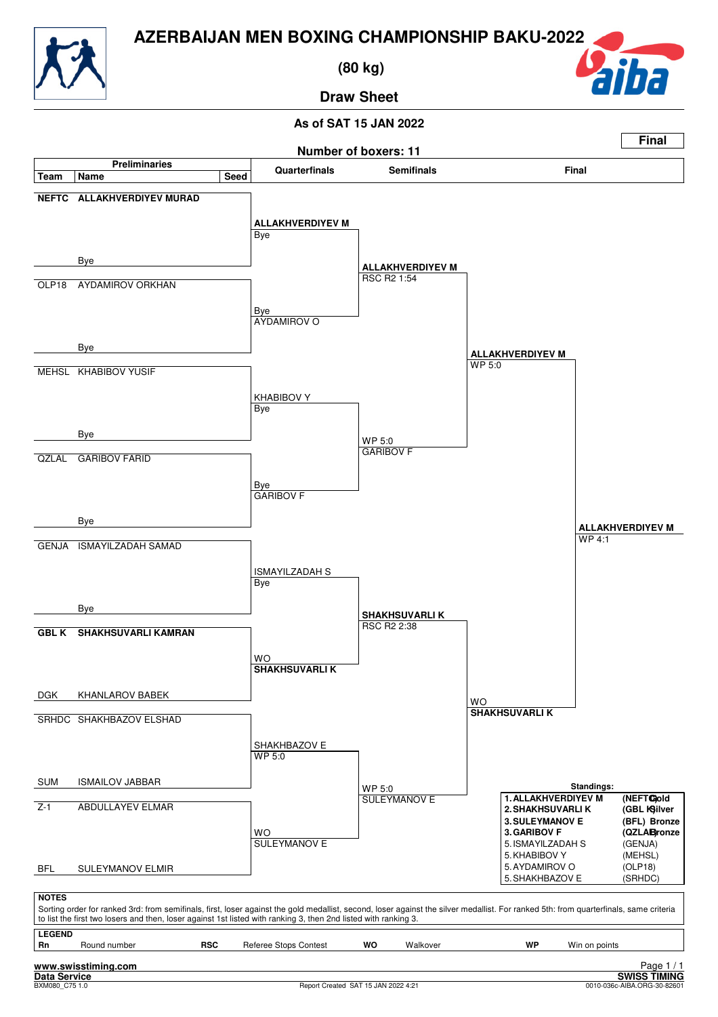

 **(80 kg)**



**Draw Sheet**

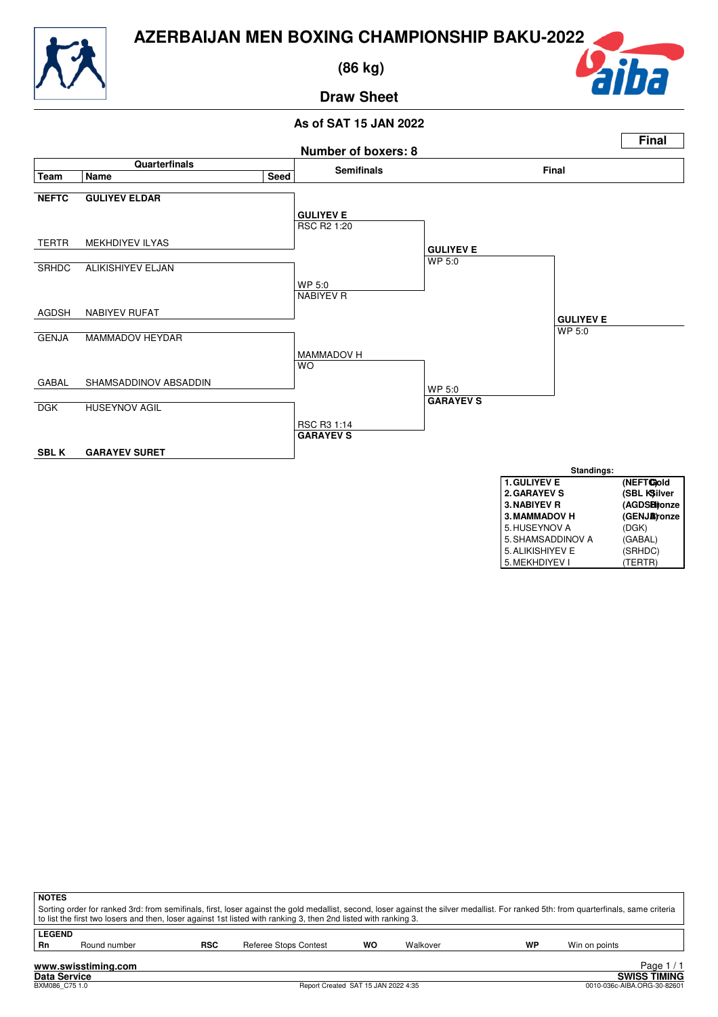

 **(86 kg)**



**Draw Sheet**



| <b>NOTES</b>                                                                                                                                                                                                                                                                                             |              |            |                              |    |          |    |               |  |  |  |
|----------------------------------------------------------------------------------------------------------------------------------------------------------------------------------------------------------------------------------------------------------------------------------------------------------|--------------|------------|------------------------------|----|----------|----|---------------|--|--|--|
| Sorting order for ranked 3rd: from semifinals, first, loser against the gold medallist, second, loser against the silver medallist. For ranked 5th: from quarterfinals, same criteria<br>to list the first two losers and then, loser against 1st listed with ranking 3, then 2nd listed with ranking 3. |              |            |                              |    |          |    |               |  |  |  |
| <b>LEGEND</b>                                                                                                                                                                                                                                                                                            |              |            |                              |    |          |    |               |  |  |  |
| Rn                                                                                                                                                                                                                                                                                                       | Round number | <b>RSC</b> | <b>Referee Stops Contest</b> | wo | Walkover | WP | Win on points |  |  |  |
| Page<br>www.swisstiming.com                                                                                                                                                                                                                                                                              |              |            |                              |    |          |    |               |  |  |  |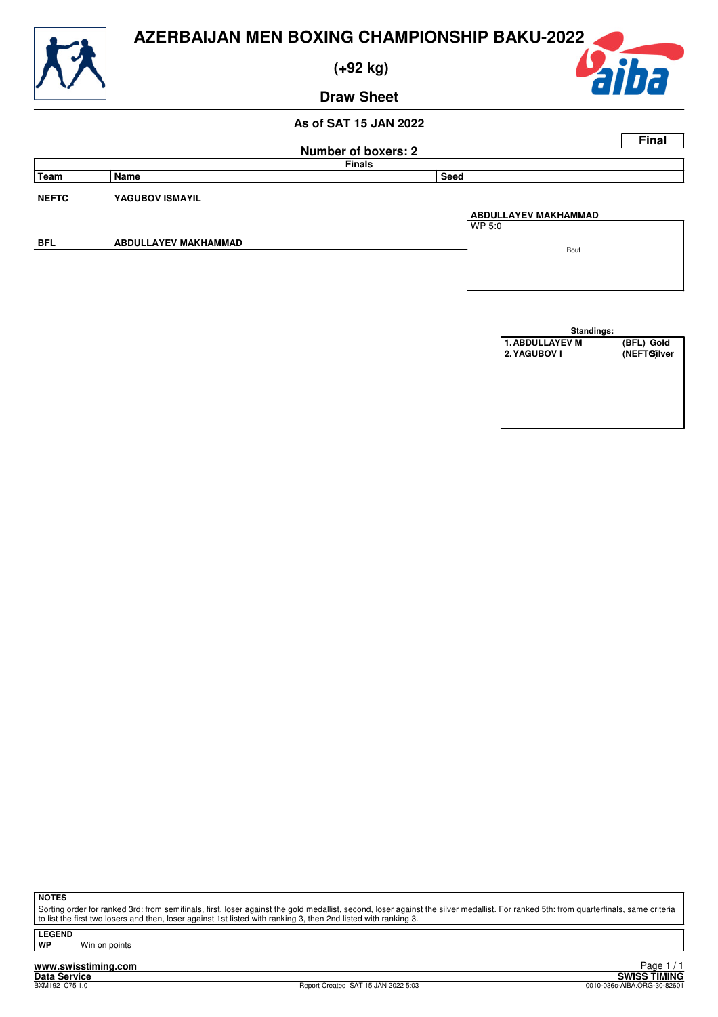

 **(+92 kg)**



**Draw Sheet**

#### **As of SAT 15 JAN 2022**





**NOTES**

Sorting order for ranked 3rd: from semifinals, first, loser against the gold medallist, second, loser against the silver medallist. For ranked 5th: from quarterfinals, same criteria to list the first two losers and then, loser against 1st listed with ranking 3, then 2nd listed with ranking 3.

**LEGEND**

**Win on points**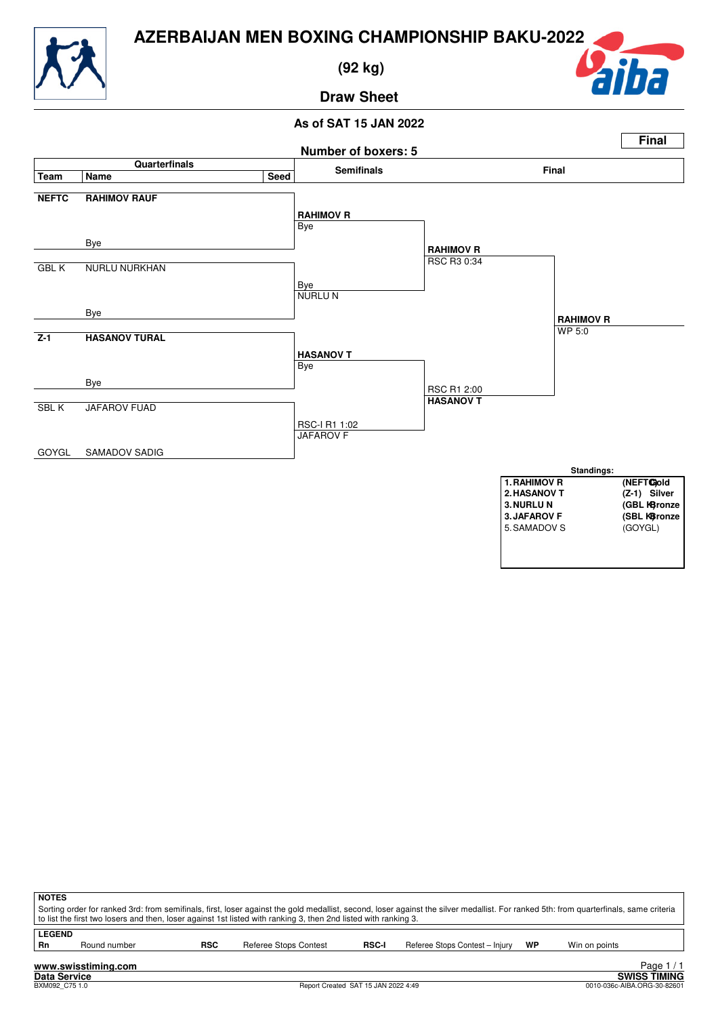

 **(92 kg)**



**Draw Sheet**



| <b>NOTES</b>                                                                                                                                                                                                                                                                                             |               |            |                              |              |                                |    |               |                             |  |  |
|----------------------------------------------------------------------------------------------------------------------------------------------------------------------------------------------------------------------------------------------------------------------------------------------------------|---------------|------------|------------------------------|--------------|--------------------------------|----|---------------|-----------------------------|--|--|
| Sorting order for ranked 3rd: from semifinals, first, loser against the gold medallist, second, loser against the silver medallist. For ranked 5th: from quarterfinals, same criteria<br>to list the first two losers and then, loser against 1st listed with ranking 3, then 2nd listed with ranking 3. |               |            |                              |              |                                |    |               |                             |  |  |
|                                                                                                                                                                                                                                                                                                          | <b>LEGEND</b> |            |                              |              |                                |    |               |                             |  |  |
| Rn                                                                                                                                                                                                                                                                                                       | Round number  | <b>RSC</b> | <b>Referee Stops Contest</b> | <b>RSC-I</b> | Referee Stops Contest - Injury | WP | Win on points |                             |  |  |
| Page $1/1$<br>www.swisstiming.com                                                                                                                                                                                                                                                                        |               |            |                              |              |                                |    |               |                             |  |  |
| <b>Data Service</b>                                                                                                                                                                                                                                                                                      |               |            |                              |              |                                |    |               | <b>SWISS TIMING</b>         |  |  |
| Report Created SAT 15 JAN 2022 4:49<br>BXM092 C75 1.0                                                                                                                                                                                                                                                    |               |            |                              |              |                                |    |               | 0010-036c-AIBA.ORG-30-82601 |  |  |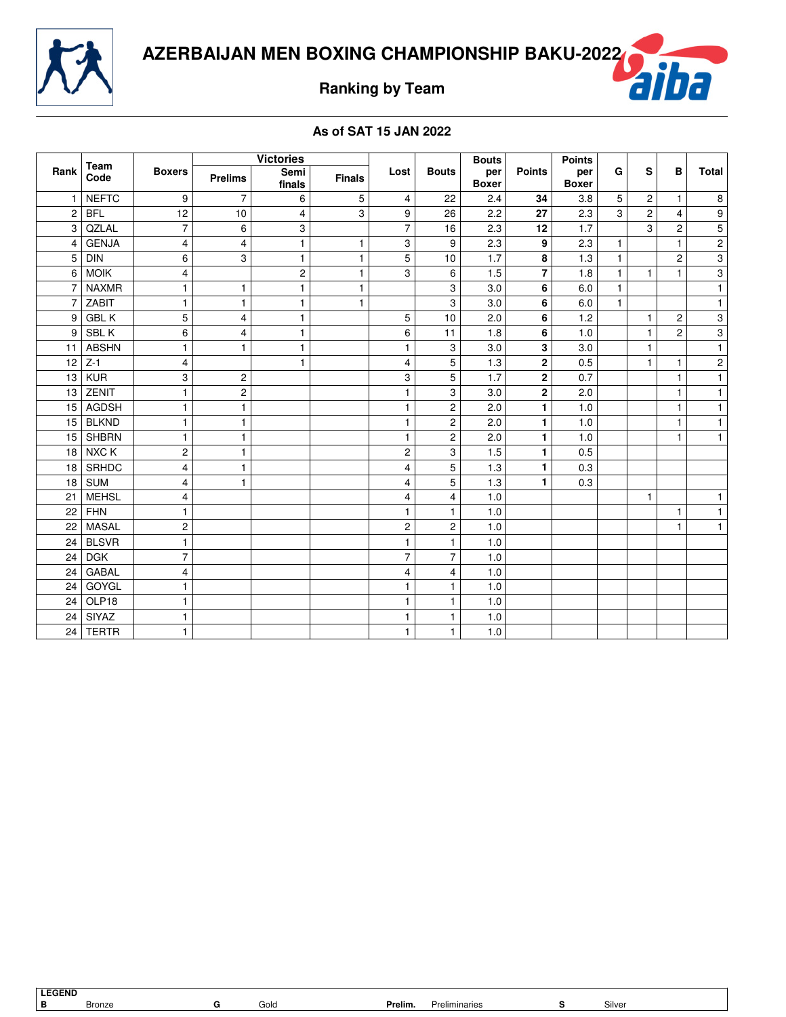



**Ranking by Team**

|                 | Team<br>Code |                         | <b>Victories</b>        |                |               |                         |                | <b>Bouts</b>        |                | <b>Points</b>       |              |                |                |                         |
|-----------------|--------------|-------------------------|-------------------------|----------------|---------------|-------------------------|----------------|---------------------|----------------|---------------------|--------------|----------------|----------------|-------------------------|
| Rank            |              | <b>Boxers</b>           | <b>Prelims</b>          | Semi<br>finals | <b>Finals</b> | Lost                    | <b>Bouts</b>   | per<br><b>Boxer</b> | <b>Points</b>  | per<br><b>Boxer</b> | G            | S              | в              | Total                   |
| $\mathbf{1}$    | <b>NEFTC</b> | 9                       | 7                       | 6              | 5             | 4                       | 22             | 2.4                 | 34             | 3.8                 | 5            | $\overline{c}$ | $\mathbf{1}$   | 8                       |
| 2               | <b>BFL</b>   | 12                      | 10                      | 4              | 3             | 9                       | 26             | 2.2                 | 27             | 2.3                 | 3            | $\overline{c}$ | $\overline{4}$ | $\boldsymbol{9}$        |
| 3               | QZLAL        | $\overline{7}$          | 6                       | 3              |               | $\overline{7}$          | 16             | 2.3                 | 12             | 1.7                 |              | 3              | $\overline{c}$ | $\overline{5}$          |
| 4               | <b>GENJA</b> | $\overline{\mathbf{4}}$ | $\overline{\mathbf{4}}$ | 1              | $\mathbf{1}$  | 3                       | 9              | 2.3                 | 9              | 2.3                 | $\mathbf{1}$ |                | $\mathbf{1}$   | $\overline{2}$          |
| 5 <sup>1</sup>  | <b>DIN</b>   | 6                       | 3                       | 1              | $\mathbf{1}$  | $\overline{5}$          | 10             | 1.7                 | 8              | 1.3                 | $\mathbf{1}$ |                | $\overline{c}$ | $\overline{3}$          |
| 6               | <b>MOIK</b>  | 4                       |                         | 2              | $\mathbf{1}$  | 3                       | 6              | 1.5                 | $\overline{7}$ | 1.8                 | $\mathbf{1}$ | $\mathbf{1}$   | $\mathbf{1}$   | $\overline{3}$          |
| $\overline{7}$  | <b>NAXMR</b> | $\mathbf{1}$            | $\mathbf{1}$            | $\mathbf{1}$   | $\mathbf{1}$  |                         | 3              | 3.0                 | 6              | 6.0                 | $\mathbf{1}$ |                |                | $\mathbf{1}$            |
| $\overline{7}$  | <b>ZABIT</b> | $\mathbf{1}$            | $\mathbf{1}$            | 1              | $\mathbf{1}$  |                         | 3              | $\overline{3.0}$    | 6              | 6.0                 | $\mathbf{1}$ |                |                | $\mathbf{1}$            |
| 9 <sup>1</sup>  | <b>GBLK</b>  | 5                       | $\overline{4}$          | 1              |               | 5                       | 10             | 2.0                 | 6              | 1.2                 |              | $\mathbf{1}$   | $\overline{2}$ | 3                       |
| 9               | SBL K        | 6                       | 4                       | 1              |               | 6                       | 11             | 1.8                 | 6              | 1.0                 |              | 1              | 2              | $\mathbf{3}$            |
| 11              | <b>ABSHN</b> | $\mathbf{1}$            | $\mathbf{1}$            | 1              |               | $\mathbf{1}$            | 3              | 3.0                 | 3              | 3.0                 |              | 1              |                | $\mathbf{1}$            |
| 12 <sup>1</sup> | $Z-1$        | 4                       |                         | 1              |               | $\overline{\mathbf{4}}$ | $\overline{5}$ | 1.3                 | $\mathbf 2$    | 0.5                 |              | 1              | 1              | $\overline{\mathbf{c}}$ |
|                 | $13$ KUR     | 3                       | $\mathbf 2$             |                |               | 3                       | 5              | 1.7                 | $\mathbf 2$    | 0.7                 |              |                | $\mathbf{1}$   | $\overline{1}$          |
| 13              | ZENIT        | $\mathbf{1}$            | $\overline{2}$          |                |               | $\mathbf{1}$            | 3              | 3.0                 | $\mathbf 2$    | 2.0                 |              |                | $\mathbf{1}$   | $\mathbf{1}$            |
| 15 <sup>1</sup> | <b>AGDSH</b> | $\mathbf{1}$            | $\mathbf{1}$            |                |               | $\mathbf{1}$            | $\overline{c}$ | 2.0                 | $\blacksquare$ | 1.0                 |              |                | $\mathbf{1}$   | $\mathbf{1}$            |
|                 | $15$ BLKND   | 1                       | $\mathbf{1}$            |                |               | 1                       | 2              | 2.0                 | 1              | 1.0                 |              |                | $\mathbf{1}$   | $\mathbf{1}$            |
| 15              | <b>SHBRN</b> | $\mathbf{1}$            | $\mathbf{1}$            |                |               | $\mathbf{1}$            | $\overline{c}$ | 2.0                 | 1              | 1.0                 |              |                | 1              | $\mathbf{1}$            |
| 18 <sup>1</sup> | NXC K        | $\overline{c}$          | $\mathbf{1}$            |                |               | $\overline{\mathbf{c}}$ | 3              | 1.5                 | 1              | 0.5                 |              |                |                |                         |
| 18 <sup>1</sup> | SRHDC        | 4                       | $\mathbf{1}$            |                |               | $\overline{\mathbf{4}}$ | 5              | 1.3                 | 1              | 0.3                 |              |                |                |                         |
| 18 <sup>1</sup> | <b>SUM</b>   | 4                       | $\mathbf{1}$            |                |               | $\overline{4}$          | 5              | 1.3                 | 1              | 0.3                 |              |                |                |                         |
| 21              | <b>MEHSL</b> | 4                       |                         |                |               | $\overline{\mathbf{4}}$ | 4              | 1.0                 |                |                     |              | 1              |                | $\mathbf{1}$            |
| 22              | <b>FHN</b>   | $\mathbf{1}$            |                         |                |               | $\mathbf{1}$            | $\mathbf{1}$   | 1.0                 |                |                     |              |                | $\mathbf{1}$   | $\mathbf{1}$            |
| 22              | <b>MASAL</b> | $\overline{c}$          |                         |                |               | $\mathbf 2$             | $\overline{c}$ | 1.0                 |                |                     |              |                | $\mathbf{1}$   | $\overline{1}$          |
| 24              | <b>BLSVR</b> | $\mathbf{1}$            |                         |                |               | $\mathbf{1}$            | $\mathbf{1}$   | 1.0                 |                |                     |              |                |                |                         |
| 24              | <b>DGK</b>   | $\overline{7}$          |                         |                |               | $\overline{7}$          | $\overline{7}$ | 1.0                 |                |                     |              |                |                |                         |
| 24              | <b>GABAL</b> | 4                       |                         |                |               | 4                       | 4              | 1.0                 |                |                     |              |                |                |                         |
| 24              | GOYGL        | $\mathbf{1}$            |                         |                |               | $\mathbf{1}$            | $\mathbf{1}$   | 1.0                 |                |                     |              |                |                |                         |
| 24              | OLP18        | $\mathbf{1}$            |                         |                |               | $\mathbf{1}$            | 1              | 1.0                 |                |                     |              |                |                |                         |
| 24              | SIYAZ        | $\mathbf{1}$            |                         |                |               | $\mathbf{1}$            | 1              | 1.0                 |                |                     |              |                |                |                         |
|                 | 24   TERTR   | $\mathbf{1}$            |                         |                |               | $\mathbf{1}$            | $\mathbf{1}$   | 1.0                 |                |                     |              |                |                |                         |

| <b>LEGEND</b> |        |      |         |             |                  |
|---------------|--------|------|---------|-------------|------------------|
| n             | Bronze | GOIC | Prelim. | eliminaries | $\sim$<br>Silver |
|               |        |      |         |             |                  |